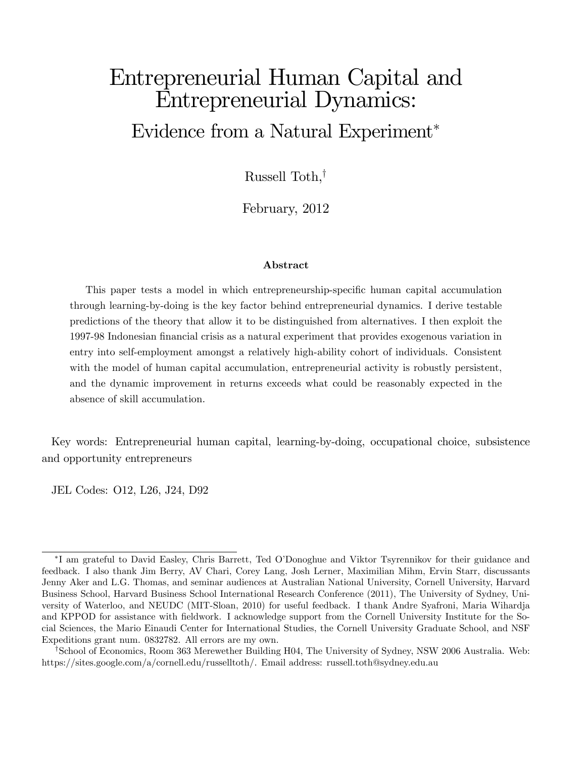# Entrepreneurial Human Capital and Entrepreneurial Dynamics: Evidence from a Natural Experiment

Russell Toth, $^{\dagger}$ 

February, 2012

#### Abstract

This paper tests a model in which entrepreneurship-specific human capital accumulation through learning-by-doing is the key factor behind entrepreneurial dynamics. I derive testable predictions of the theory that allow it to be distinguished from alternatives. I then exploit the 1997-98 Indonesian Önancial crisis as a natural experiment that provides exogenous variation in entry into self-employment amongst a relatively high-ability cohort of individuals. Consistent with the model of human capital accumulation, entrepreneurial activity is robustly persistent, and the dynamic improvement in returns exceeds what could be reasonably expected in the absence of skill accumulation.

Key words: Entrepreneurial human capital, learning-by-doing, occupational choice, subsistence and opportunity entrepreneurs

JEL Codes: O12, L26, J24, D92

I am grateful to David Easley, Chris Barrett, Ted OíDonoghue and Viktor Tsyrennikov for their guidance and feedback. I also thank Jim Berry, AV Chari, Corey Lang, Josh Lerner, Maximilian Mihm, Ervin Starr, discussants Jenny Aker and L.G. Thomas, and seminar audiences at Australian National University, Cornell University, Harvard Business School, Harvard Business School International Research Conference (2011), The University of Sydney, University of Waterloo, and NEUDC (MIT-Sloan, 2010) for useful feedback. I thank Andre Syafroni, Maria Wihardja and KPPOD for assistance with fieldwork. I acknowledge support from the Cornell University Institute for the Social Sciences, the Mario Einaudi Center for International Studies, the Cornell University Graduate School, and NSF Expeditions grant num. 0832782. All errors are my own.

<sup>&</sup>lt;sup>†</sup>School of Economics, Room 363 Merewether Building H04, The University of Sydney, NSW 2006 Australia. Web: https://sites.google.com/a/cornell.edu/russelltoth/. Email address: russell.toth@sydney.edu.au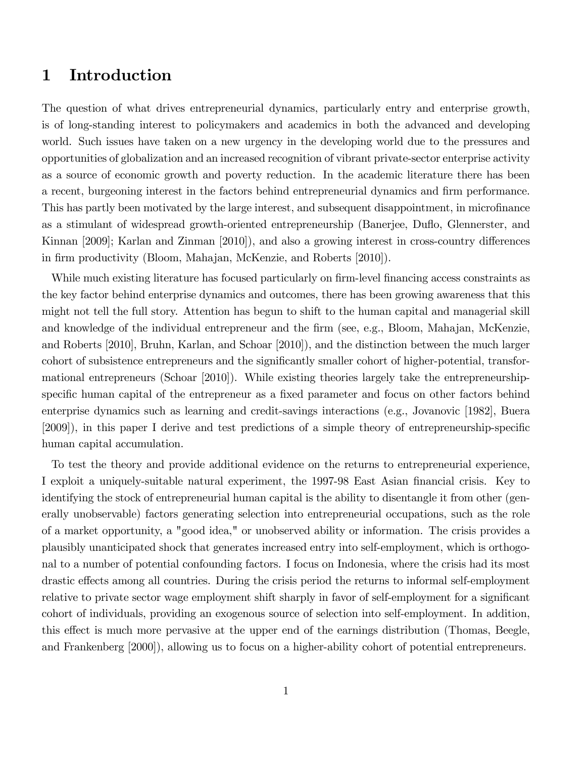## 1 Introduction

The question of what drives entrepreneurial dynamics, particularly entry and enterprise growth, is of long-standing interest to policymakers and academics in both the advanced and developing world. Such issues have taken on a new urgency in the developing world due to the pressures and opportunities of globalization and an increased recognition of vibrant private-sector enterprise activity as a source of economic growth and poverty reduction. In the academic literature there has been a recent, burgeoning interest in the factors behind entrepreneurial dynamics and firm performance. This has partly been motivated by the large interest, and subsequent disappointment, in microfinance as a stimulant of widespread growth-oriented entrepreneurship (Banerjee, Duáo, Glennerster, and Kinnan [2009]; Karlan and Zinman [2010]), and also a growing interest in cross-country differences in firm productivity (Bloom, Mahajan, McKenzie, and Roberts [2010]).

While much existing literature has focused particularly on firm-level financing access constraints as the key factor behind enterprise dynamics and outcomes, there has been growing awareness that this might not tell the full story. Attention has begun to shift to the human capital and managerial skill and knowledge of the individual entrepreneur and the Örm (see, e.g., Bloom, Mahajan, McKenzie, and Roberts [2010], Bruhn, Karlan, and Schoar [2010]), and the distinction between the much larger cohort of subsistence entrepreneurs and the significantly smaller cohort of higher-potential, transformational entrepreneurs (Schoar [2010]). While existing theories largely take the entrepreneurshipspecific human capital of the entrepreneur as a fixed parameter and focus on other factors behind enterprise dynamics such as learning and credit-savings interactions (e.g., Jovanovic [1982], Buera [2009]), in this paper I derive and test predictions of a simple theory of entrepreneurship-specific human capital accumulation.

To test the theory and provide additional evidence on the returns to entrepreneurial experience, I exploit a uniquely-suitable natural experiment, the 1997-98 East Asian Önancial crisis. Key to identifying the stock of entrepreneurial human capital is the ability to disentangle it from other (generally unobservable) factors generating selection into entrepreneurial occupations, such as the role of a market opportunity, a "good idea," or unobserved ability or information. The crisis provides a plausibly unanticipated shock that generates increased entry into self-employment, which is orthogonal to a number of potential confounding factors. I focus on Indonesia, where the crisis had its most drastic effects among all countries. During the crisis period the returns to informal self-employment relative to private sector wage employment shift sharply in favor of self-employment for a significant cohort of individuals, providing an exogenous source of selection into self-employment. In addition, this effect is much more pervasive at the upper end of the earnings distribution (Thomas, Beegle, and Frankenberg [2000]), allowing us to focus on a higher-ability cohort of potential entrepreneurs.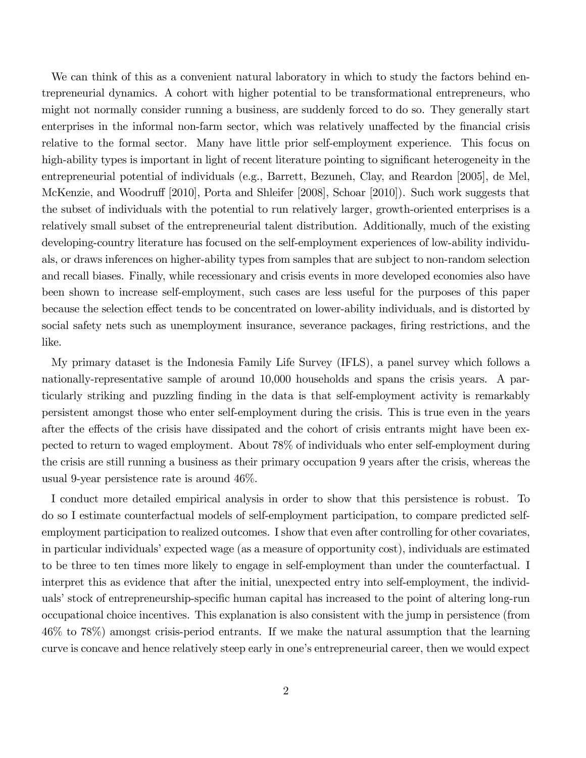We can think of this as a convenient natural laboratory in which to study the factors behind entrepreneurial dynamics. A cohort with higher potential to be transformational entrepreneurs, who might not normally consider running a business, are suddenly forced to do so. They generally start enterprises in the informal non-farm sector, which was relatively unaffected by the financial crisis relative to the formal sector. Many have little prior self-employment experience. This focus on high-ability types is important in light of recent literature pointing to significant heterogeneity in the entrepreneurial potential of individuals (e.g., Barrett, Bezuneh, Clay, and Reardon [2005], de Mel, McKenzie, and Woodruff [2010], Porta and Shleifer [2008], Schoar [2010]). Such work suggests that the subset of individuals with the potential to run relatively larger, growth-oriented enterprises is a relatively small subset of the entrepreneurial talent distribution. Additionally, much of the existing developing-country literature has focused on the self-employment experiences of low-ability individuals, or draws inferences on higher-ability types from samples that are subject to non-random selection and recall biases. Finally, while recessionary and crisis events in more developed economies also have been shown to increase self-employment, such cases are less useful for the purposes of this paper because the selection effect tends to be concentrated on lower-ability individuals, and is distorted by social safety nets such as unemployment insurance, severance packages, firing restrictions, and the like.

My primary dataset is the Indonesia Family Life Survey (IFLS), a panel survey which follows a nationally-representative sample of around 10,000 households and spans the crisis years. A particularly striking and puzzling Önding in the data is that self-employment activity is remarkably persistent amongst those who enter self-employment during the crisis. This is true even in the years after the effects of the crisis have dissipated and the cohort of crisis entrants might have been expected to return to waged employment. About 78% of individuals who enter self-employment during the crisis are still running a business as their primary occupation 9 years after the crisis, whereas the usual 9-year persistence rate is around 46%.

I conduct more detailed empirical analysis in order to show that this persistence is robust. To do so I estimate counterfactual models of self-employment participation, to compare predicted selfemployment participation to realized outcomes. I show that even after controlling for other covariates, in particular individuals' expected wage (as a measure of opportunity cost), individuals are estimated to be three to ten times more likely to engage in self-employment than under the counterfactual. I interpret this as evidence that after the initial, unexpected entry into self-employment, the individuals' stock of entrepreneurship-specific human capital has increased to the point of altering long-run occupational choice incentives. This explanation is also consistent with the jump in persistence (from 46% to 78%) amongst crisis-period entrants. If we make the natural assumption that the learning curve is concave and hence relatively steep early in one's entrepreneurial career, then we would expect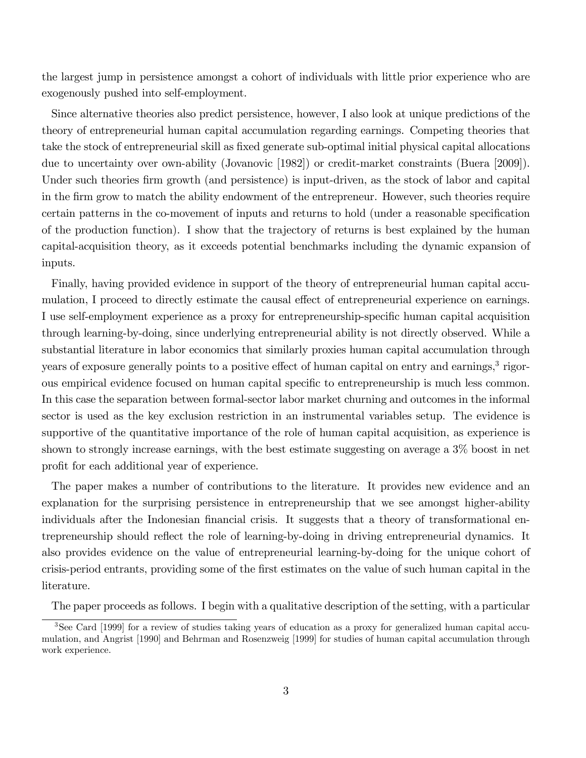the largest jump in persistence amongst a cohort of individuals with little prior experience who are exogenously pushed into self-employment.

Since alternative theories also predict persistence, however, I also look at unique predictions of the theory of entrepreneurial human capital accumulation regarding earnings. Competing theories that take the stock of entrepreneurial skill as fixed generate sub-optimal initial physical capital allocations due to uncertainty over own-ability (Jovanovic [1982]) or credit-market constraints (Buera [2009]). Under such theories firm growth (and persistence) is input-driven, as the stock of labor and capital in the Örm grow to match the ability endowment of the entrepreneur. However, such theories require certain patterns in the co-movement of inputs and returns to hold (under a reasonable specification of the production function). I show that the trajectory of returns is best explained by the human capital-acquisition theory, as it exceeds potential benchmarks including the dynamic expansion of inputs.

Finally, having provided evidence in support of the theory of entrepreneurial human capital accumulation, I proceed to directly estimate the causal effect of entrepreneurial experience on earnings. I use self-employment experience as a proxy for entrepreneurship-specific human capital acquisition through learning-by-doing, since underlying entrepreneurial ability is not directly observed. While a substantial literature in labor economics that similarly proxies human capital accumulation through years of exposure generally points to a positive effect of human capital on entry and earnings,<sup>3</sup> rigorous empirical evidence focused on human capital specific to entrepreneurship is much less common. In this case the separation between formal-sector labor market churning and outcomes in the informal sector is used as the key exclusion restriction in an instrumental variables setup. The evidence is supportive of the quantitative importance of the role of human capital acquisition, as experience is shown to strongly increase earnings, with the best estimate suggesting on average a 3% boost in net profit for each additional year of experience.

The paper makes a number of contributions to the literature. It provides new evidence and an explanation for the surprising persistence in entrepreneurship that we see amongst higher-ability individuals after the Indonesian financial crisis. It suggests that a theory of transformational entrepreneurship should reflect the role of learning-by-doing in driving entrepreneurial dynamics. It also provides evidence on the value of entrepreneurial learning-by-doing for the unique cohort of crisis-period entrants, providing some of the Örst estimates on the value of such human capital in the literature.

The paper proceeds as follows. I begin with a qualitative description of the setting, with a particular

<sup>&</sup>lt;sup>3</sup>See Card [1999] for a review of studies taking years of education as a proxy for generalized human capital accumulation, and Angrist [1990] and Behrman and Rosenzweig [1999] for studies of human capital accumulation through work experience.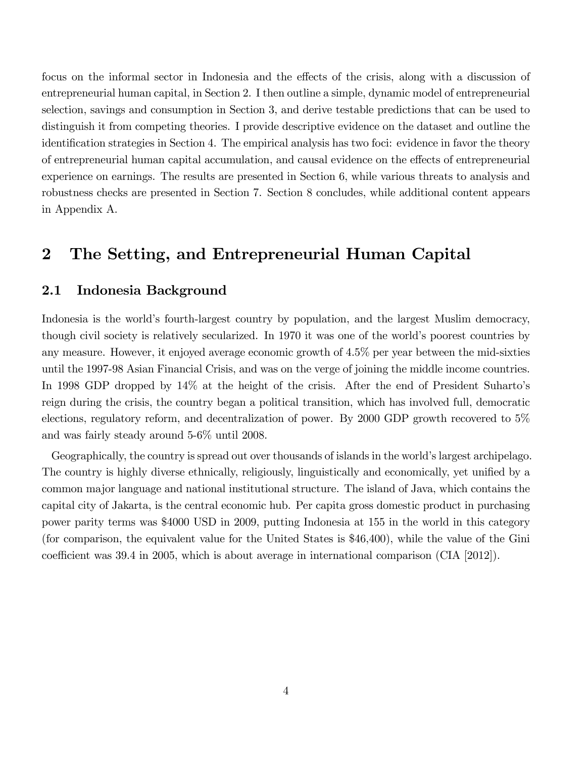focus on the informal sector in Indonesia and the effects of the crisis, along with a discussion of entrepreneurial human capital, in Section 2. I then outline a simple, dynamic model of entrepreneurial selection, savings and consumption in Section 3, and derive testable predictions that can be used to distinguish it from competing theories. I provide descriptive evidence on the dataset and outline the identification strategies in Section 4. The empirical analysis has two foci: evidence in favor the theory of entrepreneurial human capital accumulation, and causal evidence on the effects of entrepreneurial experience on earnings. The results are presented in Section 6, while various threats to analysis and robustness checks are presented in Section 7. Section 8 concludes, while additional content appears in Appendix A.

## 2 The Setting, and Entrepreneurial Human Capital

### 2.1 Indonesia Background

Indonesia is the world's fourth-largest country by population, and the largest Muslim democracy, though civil society is relatively secularized. In 1970 it was one of the world's poorest countries by any measure. However, it enjoyed average economic growth of 4.5% per year between the mid-sixties until the 1997-98 Asian Financial Crisis, and was on the verge of joining the middle income countries. In 1998 GDP dropped by 14% at the height of the crisis. After the end of President Suharto's reign during the crisis, the country began a political transition, which has involved full, democratic elections, regulatory reform, and decentralization of power. By 2000 GDP growth recovered to 5% and was fairly steady around 5-6% until 2008.

Geographically, the country is spread out over thousands of islands in the world's largest archipelago. The country is highly diverse ethnically, religiously, linguistically and economically, yet unified by a common major language and national institutional structure. The island of Java, which contains the capital city of Jakarta, is the central economic hub. Per capita gross domestic product in purchasing power parity terms was \$4000 USD in 2009, putting Indonesia at 155 in the world in this category (for comparison, the equivalent value for the United States is \$46,400), while the value of the Gini coefficient was  $39.4$  in 2005, which is about average in international comparison (CIA [2012]).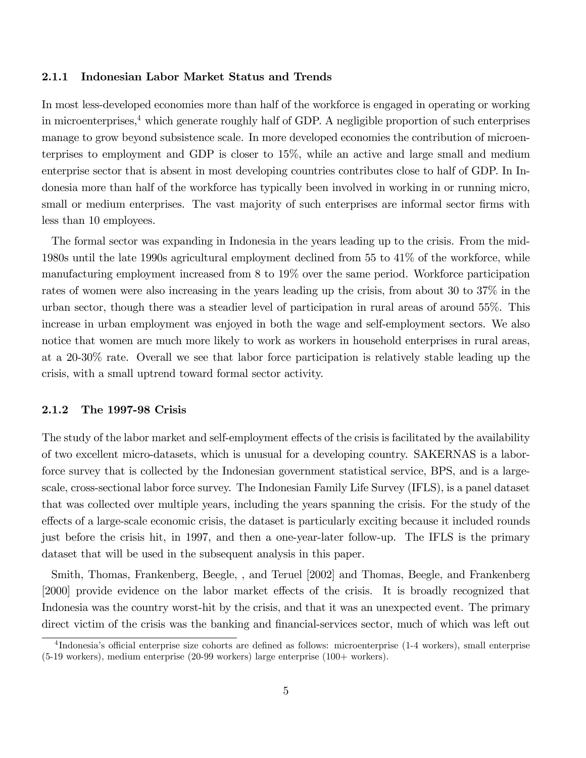#### 2.1.1 Indonesian Labor Market Status and Trends

In most less-developed economies more than half of the workforce is engaged in operating or working in microenterprises,<sup>4</sup> which generate roughly half of GDP. A negligible proportion of such enterprises manage to grow beyond subsistence scale. In more developed economies the contribution of microenterprises to employment and GDP is closer to 15%, while an active and large small and medium enterprise sector that is absent in most developing countries contributes close to half of GDP. In Indonesia more than half of the workforce has typically been involved in working in or running micro, small or medium enterprises. The vast majority of such enterprises are informal sector firms with less than 10 employees.

The formal sector was expanding in Indonesia in the years leading up to the crisis. From the mid-1980s until the late 1990s agricultural employment declined from 55 to 41% of the workforce, while manufacturing employment increased from 8 to 19% over the same period. Workforce participation rates of women were also increasing in the years leading up the crisis, from about 30 to 37% in the urban sector, though there was a steadier level of participation in rural areas of around 55%. This increase in urban employment was enjoyed in both the wage and self-employment sectors. We also notice that women are much more likely to work as workers in household enterprises in rural areas, at a 20-30% rate. Overall we see that labor force participation is relatively stable leading up the crisis, with a small uptrend toward formal sector activity.

#### 2.1.2 The 1997-98 Crisis

The study of the labor market and self-employment effects of the crisis is facilitated by the availability of two excellent micro-datasets, which is unusual for a developing country. SAKERNAS is a laborforce survey that is collected by the Indonesian government statistical service, BPS, and is a largescale, cross-sectional labor force survey. The Indonesian Family Life Survey (IFLS), is a panel dataset that was collected over multiple years, including the years spanning the crisis. For the study of the effects of a large-scale economic crisis, the dataset is particularly exciting because it included rounds just before the crisis hit, in 1997, and then a one-year-later follow-up. The IFLS is the primary dataset that will be used in the subsequent analysis in this paper.

Smith, Thomas, Frankenberg, Beegle, , and Teruel [2002] and Thomas, Beegle, and Frankenberg [2000] provide evidence on the labor market effects of the crisis. It is broadly recognized that Indonesia was the country worst-hit by the crisis, and that it was an unexpected event. The primary direct victim of the crisis was the banking and financial-services sector, much of which was left out

<sup>&</sup>lt;sup>4</sup>Indonesia's official enterprise size cohorts are defined as follows: microenterprise (1-4 workers), small enterprise (5-19 workers), medium enterprise (20-99 workers) large enterprise (100+ workers).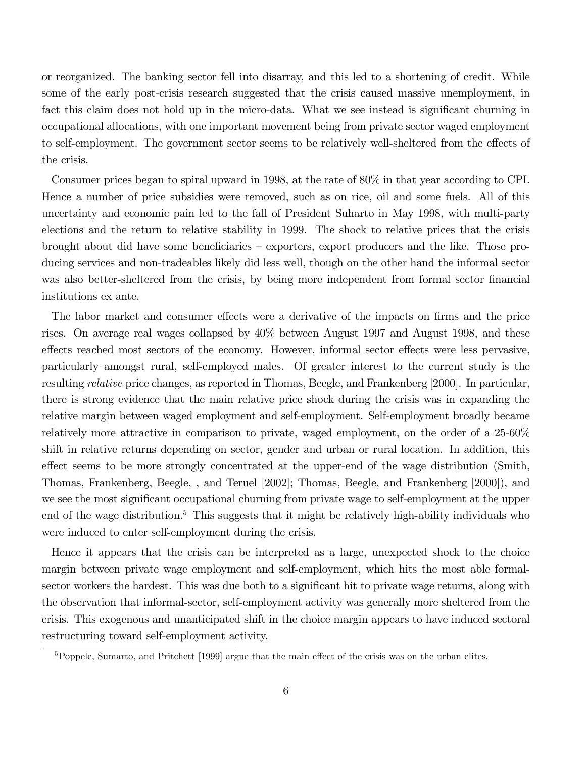or reorganized. The banking sector fell into disarray, and this led to a shortening of credit. While some of the early post-crisis research suggested that the crisis caused massive unemployment, in fact this claim does not hold up in the micro-data. What we see instead is significant churning in occupational allocations, with one important movement being from private sector waged employment to self-employment. The government sector seems to be relatively well-sheltered from the effects of the crisis.

Consumer prices began to spiral upward in 1998, at the rate of 80% in that year according to CPI. Hence a number of price subsidies were removed, such as on rice, oil and some fuels. All of this uncertainty and economic pain led to the fall of President Suharto in May 1998, with multi-party elections and the return to relative stability in 1999. The shock to relative prices that the crisis brought about did have some beneficiaries  $-$  exporters, export producers and the like. Those producing services and non-tradeables likely did less well, though on the other hand the informal sector was also better-sheltered from the crisis, by being more independent from formal sector financial institutions ex ante.

The labor market and consumer effects were a derivative of the impacts on firms and the price rises. On average real wages collapsed by 40% between August 1997 and August 1998, and these effects reached most sectors of the economy. However, informal sector effects were less pervasive, particularly amongst rural, self-employed males. Of greater interest to the current study is the resulting relative price changes, as reported in Thomas, Beegle, and Frankenberg [2000]. In particular, there is strong evidence that the main relative price shock during the crisis was in expanding the relative margin between waged employment and self-employment. Self-employment broadly became relatively more attractive in comparison to private, waged employment, on the order of a 25-60% shift in relative returns depending on sector, gender and urban or rural location. In addition, this effect seems to be more strongly concentrated at the upper-end of the wage distribution (Smith, Thomas, Frankenberg, Beegle, , and Teruel [2002]; Thomas, Beegle, and Frankenberg [2000]), and we see the most significant occupational churning from private wage to self-employment at the upper end of the wage distribution.<sup>5</sup> This suggests that it might be relatively high-ability individuals who were induced to enter self-employment during the crisis.

Hence it appears that the crisis can be interpreted as a large, unexpected shock to the choice margin between private wage employment and self-employment, which hits the most able formalsector workers the hardest. This was due both to a significant hit to private wage returns, along with the observation that informal-sector, self-employment activity was generally more sheltered from the crisis. This exogenous and unanticipated shift in the choice margin appears to have induced sectoral restructuring toward self-employment activity.

 $5P^5$ Poppele, Sumarto, and Pritchett [1999] argue that the main effect of the crisis was on the urban elites.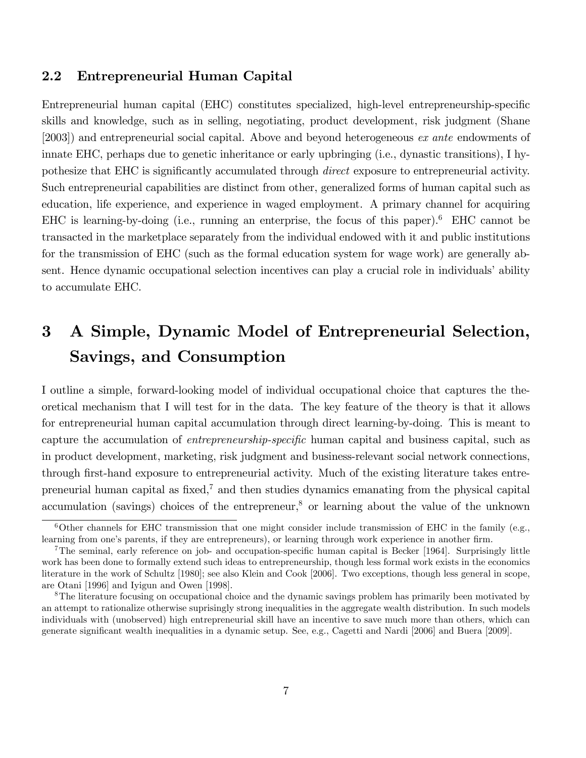## 2.2 Entrepreneurial Human Capital

Entrepreneurial human capital (EHC) constitutes specialized, high-level entrepreneurship-specific skills and knowledge, such as in selling, negotiating, product development, risk judgment (Shane [2003]) and entrepreneurial social capital. Above and beyond heterogeneous ex ante endowments of innate EHC, perhaps due to genetic inheritance or early upbringing (i.e., dynastic transitions), I hypothesize that EHC is significantly accumulated through *direct* exposure to entrepreneurial activity. Such entrepreneurial capabilities are distinct from other, generalized forms of human capital such as education, life experience, and experience in waged employment. A primary channel for acquiring EHC is learning-by-doing (i.e., running an enterprise, the focus of this paper).<sup>6</sup> EHC cannot be transacted in the marketplace separately from the individual endowed with it and public institutions for the transmission of EHC (such as the formal education system for wage work) are generally absent. Hence dynamic occupational selection incentives can play a crucial role in individuals' ability to accumulate EHC.

# 3 A Simple, Dynamic Model of Entrepreneurial Selection, Savings, and Consumption

I outline a simple, forward-looking model of individual occupational choice that captures the theoretical mechanism that I will test for in the data. The key feature of the theory is that it allows for entrepreneurial human capital accumulation through direct learning-by-doing. This is meant to capture the accumulation of *entrepreneurship-specific* human capital and business capital, such as in product development, marketing, risk judgment and business-relevant social network connections, through first-hand exposure to entrepreneurial activity. Much of the existing literature takes entrepreneurial human capital as fixed, $^7$  and then studies dynamics emanating from the physical capital accumulation (savings) choices of the entrepreneur,<sup>8</sup> or learning about the value of the unknown

<sup>&</sup>lt;sup>6</sup>Other channels for EHC transmission that one might consider include transmission of EHC in the family (e.g., learning from one's parents, if they are entrepreneurs), or learning through work experience in another firm.

<sup>&</sup>lt;sup>7</sup>The seminal, early reference on job- and occupation-specific human capital is Becker [1964]. Surprisingly little work has been done to formally extend such ideas to entrepreneurship, though less formal work exists in the economics literature in the work of Schultz [1980]; see also Klein and Cook [2006]. Two exceptions, though less general in scope, are Otani [1996] and Iyigun and Owen [1998].

<sup>&</sup>lt;sup>8</sup>The literature focusing on occupational choice and the dynamic savings problem has primarily been motivated by an attempt to rationalize otherwise suprisingly strong inequalities in the aggregate wealth distribution. In such models individuals with (unobserved) high entrepreneurial skill have an incentive to save much more than others, which can generate signiÖcant wealth inequalities in a dynamic setup. See, e.g., Cagetti and Nardi [2006] and Buera [2009].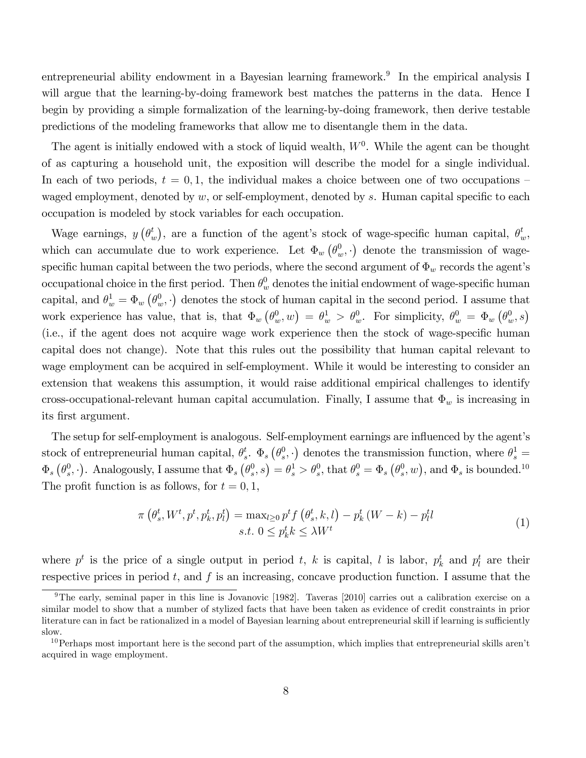entrepreneurial ability endowment in a Bayesian learning framework.<sup>9</sup> In the empirical analysis I will argue that the learning-by-doing framework best matches the patterns in the data. Hence I begin by providing a simple formalization of the learning-by-doing framework, then derive testable predictions of the modeling frameworks that allow me to disentangle them in the data.

The agent is initially endowed with a stock of liquid wealth,  $W<sup>0</sup>$ . While the agent can be thought of as capturing a household unit, the exposition will describe the model for a single individual. In each of two periods,  $t = 0, 1$ , the individual makes a choice between one of two occupations – waged employment, denoted by  $w$ , or self-employment, denoted by s. Human capital specific to each occupation is modeled by stock variables for each occupation.

Wage earnings,  $y(\theta_i^t)$  $\binom{t}{w}$ , are a function of the agent's stock of wage-specific human capital,  $\theta_w^t$ , which can accumulate due to work experience. Let  $\Phi_w(\theta_w^0,\cdot)$  denote the transmission of wagespecific human capital between the two periods, where the second argument of  $\Phi_w$  records the agent's occupational choice in the first period. Then  $\theta_w^0$  denotes the initial endowment of wage-specific human capital, and  $\theta_w^1 = \Phi_w(\theta_w^0, \cdot)$  denotes the stock of human capital in the second period. I assume that work experience has value, that is, that  $\Phi_w(\theta_w^0, w) = \theta_w^1 > \theta_w^0$ . For simplicity,  $\theta_w^0 = \Phi_w(\theta_w^0, s)$ (i.e., if the agent does not acquire wage work experience then the stock of wage-specific human capital does not change). Note that this rules out the possibility that human capital relevant to wage employment can be acquired in self-employment. While it would be interesting to consider an extension that weakens this assumption, it would raise additional empirical challenges to identify cross-occupational-relevant human capital accumulation. Finally, I assume that  $\Phi_w$  is increasing in its Örst argument.

The setup for self-employment is analogous. Self-employment earnings are influenced by the agent's stock of entrepreneurial human capital,  $\theta_s^t$  $_s^t$ .  $\Phi_s \left(\theta_s^0\right)$  $(s<sup>0</sup>, \cdot)$  denotes the transmission function, where  $\theta_s^1 =$  $\Phi_s \left( \theta_s^0 \right)$  $(s^0, \cdot)$ . Analogously, I assume that  $\Phi_s \left( \theta_s^0 \right)$  $\left( \theta _{s}^{0},s\right) =\theta _{s}^{1}>\theta _{s}^{0},\text{that }\theta _{s}^{0}=\Phi _{s}\left( \theta _{s}^{0}\right)$  $(s<sup>0</sup>, w)$ , and  $\Phi_s$  is bounded.<sup>10</sup> The profit function is as follows, for  $t = 0, 1$ ,

$$
\pi\left(\theta_s^t, W^t, p^t, p^t_k, p^t_l\right) = \max_{l\geq 0} p^t f\left(\theta_s^t, k, l\right) - p^t_k \left(W - k\right) - p^t_l l
$$
\n
$$
s.t. \ 0 \leq p^t_k k \leq \lambda W^t \tag{1}
$$

where  $p^t$  is the price of a single output in period t, k is capital, l is labor,  $p^t_k$  and  $p^t_l$  are their respective prices in period  $t$ , and  $f$  is an increasing, concave production function. I assume that the

<sup>&</sup>lt;sup>9</sup>The early, seminal paper in this line is Jovanovic [1982]. Taveras [2010] carries out a calibration exercise on a similar model to show that a number of stylized facts that have been taken as evidence of credit constraints in prior literature can in fact be rationalized in a model of Bayesian learning about entrepreneurial skill if learning is sufficiently slow.

 $10$ Perhaps most important here is the second part of the assumption, which implies that entrepreneurial skills aren<sup>'t</sup> acquired in wage employment.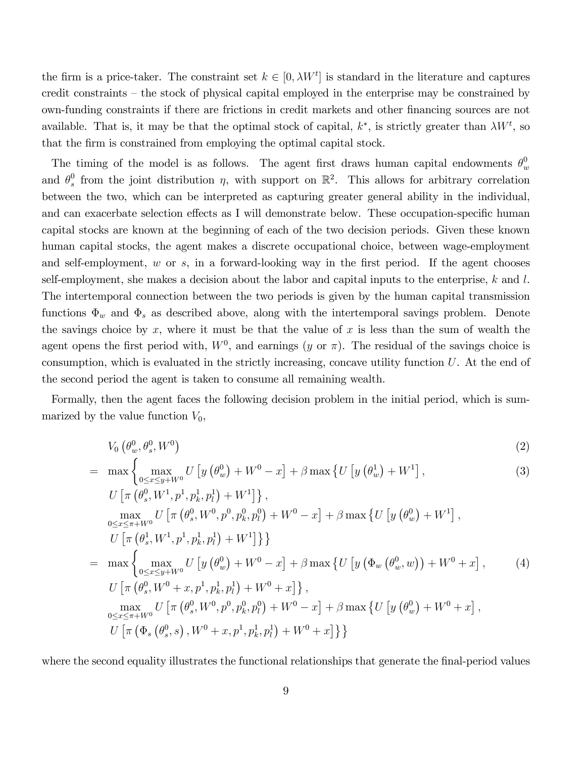the firm is a price-taker. The constraint set  $k \in [0, \lambda W^t]$  is standard in the literature and captures credit constraints  $-$  the stock of physical capital employed in the enterprise may be constrained by own-funding constraints if there are frictions in credit markets and other financing sources are not available. That is, it may be that the optimal stock of capital,  $k^*$ , is strictly greater than  $\lambda W^t$ , so that the firm is constrained from employing the optimal capital stock.

The timing of the model is as follows. The agent first draws human capital endowments  $\theta_u^0$ w and  $\theta_s^0$ <sup>0</sup> from the joint distribution  $\eta$ , with support on  $\mathbb{R}^2$ . This allows for arbitrary correlation between the two, which can be interpreted as capturing greater general ability in the individual, and can exacerbate selection effects as I will demonstrate below. These occupation-specific human capital stocks are known at the beginning of each of the two decision periods. Given these known human capital stocks, the agent makes a discrete occupational choice, between wage-employment and self-employment,  $w$  or  $s$ , in a forward-looking way in the first period. If the agent chooses self-employment, she makes a decision about the labor and capital inputs to the enterprise,  $k$  and  $l$ . The intertemporal connection between the two periods is given by the human capital transmission functions  $\Phi_w$  and  $\Phi_s$  as described above, along with the intertemporal savings problem. Denote the savings choice by  $x$ , where it must be that the value of  $x$  is less than the sum of wealth the agent opens the first period with,  $W^0$ , and earnings  $(y \text{ or } \pi)$ . The residual of the savings choice is consumption, which is evaluated in the strictly increasing, concave utility function U. At the end of the second period the agent is taken to consume all remaining wealth.

Formally, then the agent faces the following decision problem in the initial period, which is summarized by the value function  $V_0$ ,

$$
V_0\left(\theta_w^0, \theta_s^0, W^0\right) \tag{2}
$$

$$
= \max\left\{\max_{0\leq x\leq y+W^{0}} U\left[y\left(\theta_{w}^{0}\right)+W^{0}-x\right]+\beta \max\left\{U\left[y\left(\theta_{w}^{1}\right)+W^{1}\right],\right.\right\}
$$
\n(3)

$$
U\left[\pi\left(\theta_s^0, W^1, p^1, p_k^1, p_l^1\right) + W^1\right]\right\},\
$$
  
\n
$$
\max_{0 \le x \le \pi + W^0} U\left[\pi\left(\theta_s^0, W^0, p^0, p_k^0, p_l^0\right) + W^0 - x\right] + \beta \max\left\{U\left[y\left(\theta_w^0\right) + W^1\right],\right.
$$
  
\n
$$
U\left[\pi\left(\theta_s^1, W^1, p^1, p_k^1, p_l^1\right) + W^1\right]\right\}
$$
  
\n
$$
= \max\left\{\max_{0 \le x \le y + W^0} U\left[y\left(\theta_w^0\right) + W^0 - x\right] + \beta \max\left\{U\left[y\left(\Phi_w\left(\theta_w^0, w\right)\right) + W^0 + x\right],\right.\right.
$$
  
\n
$$
U\left[\pi\left(\theta_s^0, W^0 + x, p^1, p_k^1, p_l^1\right) + W^0 + x\right]\right\},\
$$
  
\n
$$
\max_{0 \le x \le \pi + W^0} U\left[\pi\left(\theta_s^0, W^0, p^0, p_k^0, p_l^0\right) + W^0 - x\right] + \beta \max\left\{U\left[y\left(\theta_w^0\right) + W^0 + x\right],\right.
$$
  
\n
$$
U\left[\pi\left(\Phi_s\left(\theta_s^0, s\right), W^0 + x, p^1, p_k^1, p_l^1\right) + W^0 + x\right]\right\}
$$

where the second equality illustrates the functional relationships that generate the final-period values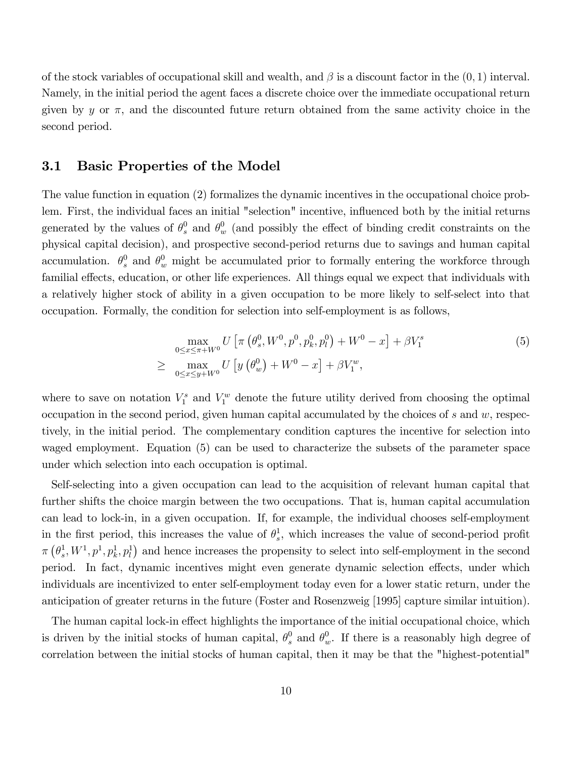of the stock variables of occupational skill and wealth, and  $\beta$  is a discount factor in the  $(0,1)$  interval. Namely, in the initial period the agent faces a discrete choice over the immediate occupational return given by y or  $\pi$ , and the discounted future return obtained from the same activity choice in the second period.

#### 3.1 Basic Properties of the Model

The value function in equation (2) formalizes the dynamic incentives in the occupational choice problem. First, the individual faces an initial "selection" incentive, influenced both by the initial returns generated by the values of  $\theta_s^0$  and  $\theta_w^0$  (and possibly the effect of binding credit constraints on the physical capital decision), and prospective second-period returns due to savings and human capital accumulation.  $\theta_s^0$  and  $\theta_w^0$  might be accumulated prior to formally entering the workforce through familial effects, education, or other life experiences. All things equal we expect that individuals with a relatively higher stock of ability in a given occupation to be more likely to self-select into that occupation. Formally, the condition for selection into self-employment is as follows,

$$
\max_{0 \le x \le \pi + W^0} U \left[ \pi \left( \theta_s^0, W^0, p^0, p_k^0, p_l^0 \right) + W^0 - x \right] + \beta V_1^s
$$
\n
$$
\ge \max_{0 \le x \le y + W^0} U \left[ y \left( \theta_w^0 \right) + W^0 - x \right] + \beta V_1^w,
$$
\n(5)

where to save on notation  $V_1^s$  and  $V_1^w$  denote the future utility derived from choosing the optimal occupation in the second period, given human capital accumulated by the choices of  $s$  and  $w$ , respectively, in the initial period. The complementary condition captures the incentive for selection into waged employment. Equation (5) can be used to characterize the subsets of the parameter space under which selection into each occupation is optimal.

Self-selecting into a given occupation can lead to the acquisition of relevant human capital that further shifts the choice margin between the two occupations. That is, human capital accumulation can lead to lock-in, in a given occupation. If, for example, the individual chooses self-employment in the first period, this increases the value of  $\theta_s^1$  $\frac{1}{s}$ , which increases the value of second-period profit  $\pi\left(\theta_s^1\right)$  $\{e_s^1, W^1, p_1^1, p_k^1, p_l^1\}$  and hence increases the propensity to select into self-employment in the second period. In fact, dynamic incentives might even generate dynamic selection effects, under which individuals are incentivized to enter self-employment today even for a lower static return, under the anticipation of greater returns in the future (Foster and Rosenzweig [1995] capture similar intuition).

The human capital lock-in effect highlights the importance of the initial occupational choice, which is driven by the initial stocks of human capital,  $\theta_s^0$  and  $\theta_w^0$ . If there is a reasonably high degree of correlation between the initial stocks of human capital, then it may be that the "highest-potential"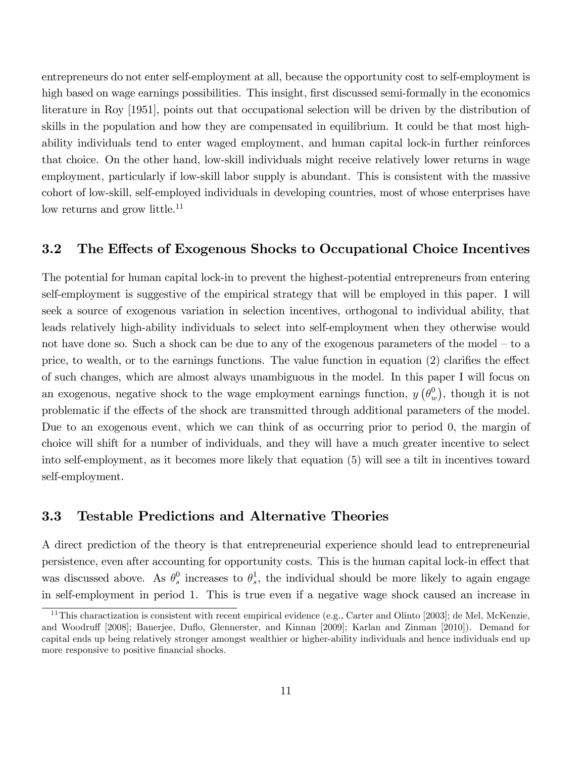entrepreneurs do not enter self-employment at all, because the opportunity cost to self-employment is high based on wage earnings possibilities. This insight, first discussed semi-formally in the economics literature in Roy [1951], points out that occupational selection will be driven by the distribution of skills in the population and how they are compensated in equilibrium. It could be that most highability individuals tend to enter waged employment, and human capital lock-in further reinforces that choice. On the other hand, low-skill individuals might receive relatively lower returns in wage employment, particularly if low-skill labor supply is abundant. This is consistent with the massive cohort of low-skill, self-employed individuals in developing countries, most of whose enterprises have low returns and grow little.<sup>11</sup>

### 3.2 The Effects of Exogenous Shocks to Occupational Choice Incentives

The potential for human capital lock-in to prevent the highest-potential entrepreneurs from entering self-employment is suggestive of the empirical strategy that will be employed in this paper. I will seek a source of exogenous variation in selection incentives, orthogonal to individual ability, that leads relatively high-ability individuals to select into self-employment when they otherwise would not have done so. Such a shock can be due to any of the exogenous parameters of the model  $-$  to a price, to wealth, or to the earnings functions. The value function in equation  $(2)$  clarifies the effect of such changes, which are almost always unambiguous in the model. In this paper I will focus on an exogenous, negative shock to the wage employment earnings function,  $y(\theta_u^0)$  $w$ , though it is not problematic if the effects of the shock are transmitted through additional parameters of the model. Due to an exogenous event, which we can think of as occurring prior to period 0, the margin of choice will shift for a number of individuals, and they will have a much greater incentive to select into self-employment, as it becomes more likely that equation (5) will see a tilt in incentives toward self-employment.

### 3.3 Testable Predictions and Alternative Theories

A direct prediction of the theory is that entrepreneurial experience should lead to entrepreneurial persistence, even after accounting for opportunity costs. This is the human capital lock-in effect that was discussed above. As  $\theta_s^0$  $\frac{0}{s}$  increases to  $\theta_s^1$  $s<sub>s</sub>$ , the individual should be more likely to again engage in self-employment in period 1. This is true even if a negative wage shock caused an increase in

<sup>&</sup>lt;sup>11</sup>This charactization is consistent with recent empirical evidence (e.g., Carter and Olinto [2003]; de Mel, McKenzie, and Woodruff [2008]; Banerjee, Duflo, Glennerster, and Kinnan [2009]; Karlan and Zinman [2010]). Demand for capital ends up being relatively stronger amongst wealthier or higher-ability individuals and hence individuals end up more responsive to positive financial shocks.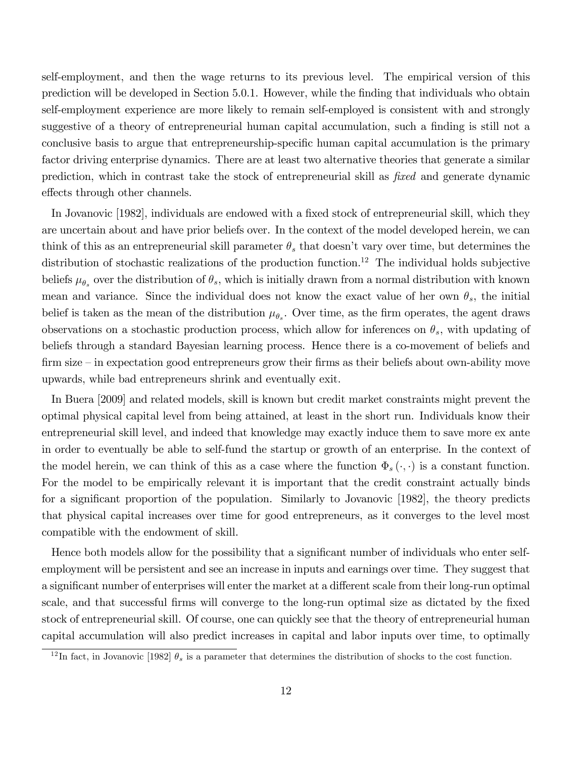self-employment, and then the wage returns to its previous level. The empirical version of this prediction will be developed in Section 5.0.1. However, while the Önding that individuals who obtain self-employment experience are more likely to remain self-employed is consistent with and strongly suggestive of a theory of entrepreneurial human capital accumulation, such a finding is still not a conclusive basis to argue that entrepreneurship-specific human capital accumulation is the primary factor driving enterprise dynamics. There are at least two alternative theories that generate a similar prediction, which in contrast take the stock of entrepreneurial skill as  $fixed$  and generate dynamic effects through other channels.

In Jovanovic [1982], individuals are endowed with a fixed stock of entrepreneurial skill, which they are uncertain about and have prior beliefs over. In the context of the model developed herein, we can think of this as an entrepreneurial skill parameter  $\theta_s$  that doesn't vary over time, but determines the distribution of stochastic realizations of the production function.<sup>12</sup> The individual holds subjective beliefs  $\mu_{\theta_s}$  over the distribution of  $\theta_s$ , which is initially drawn from a normal distribution with known mean and variance. Since the individual does not know the exact value of her own  $\theta_s$ , the initial belief is taken as the mean of the distribution  $\mu_{\theta_s}$ . Over time, as the firm operates, the agent draws observations on a stochastic production process, which allow for inferences on  $\theta_s$ , with updating of beliefs through a standard Bayesian learning process. Hence there is a co-movement of beliefs and firm size  $\overline{\phantom{a}}$  in expectation good entrepreneurs grow their firms as their beliefs about own-ability move upwards, while bad entrepreneurs shrink and eventually exit.

In Buera [2009] and related models, skill is known but credit market constraints might prevent the optimal physical capital level from being attained, at least in the short run. Individuals know their entrepreneurial skill level, and indeed that knowledge may exactly induce them to save more ex ante in order to eventually be able to self-fund the startup or growth of an enterprise. In the context of the model herein, we can think of this as a case where the function  $\Phi_s(\cdot, \cdot)$  is a constant function. For the model to be empirically relevant it is important that the credit constraint actually binds for a significant proportion of the population. Similarly to Jovanovic [1982], the theory predicts that physical capital increases over time for good entrepreneurs, as it converges to the level most compatible with the endowment of skill.

Hence both models allow for the possibility that a significant number of individuals who enter selfemployment will be persistent and see an increase in inputs and earnings over time. They suggest that a significant number of enterprises will enter the market at a different scale from their long-run optimal scale, and that successful firms will converge to the long-run optimal size as dictated by the fixed stock of entrepreneurial skill. Of course, one can quickly see that the theory of entrepreneurial human capital accumulation will also predict increases in capital and labor inputs over time, to optimally

<sup>&</sup>lt;sup>12</sup>In fact, in Jovanovic [1982]  $\theta_s$  is a parameter that determines the distribution of shocks to the cost function.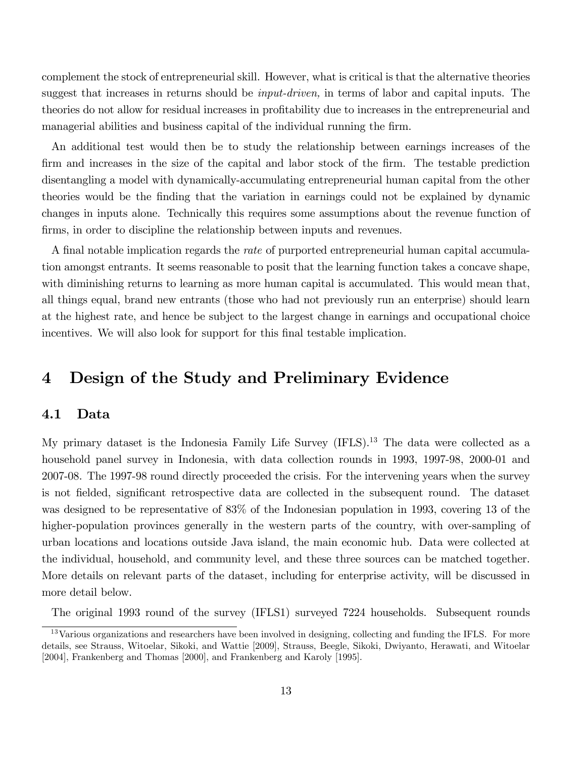complement the stock of entrepreneurial skill. However, what is critical is that the alternative theories suggest that increases in returns should be *input-driven*, in terms of labor and capital inputs. The theories do not allow for residual increases in profitability due to increases in the entrepreneurial and managerial abilities and business capital of the individual running the firm.

An additional test would then be to study the relationship between earnings increases of the firm and increases in the size of the capital and labor stock of the firm. The testable prediction disentangling a model with dynamically-accumulating entrepreneurial human capital from the other theories would be the Önding that the variation in earnings could not be explained by dynamic changes in inputs alone. Technically this requires some assumptions about the revenue function of firms, in order to discipline the relationship between inputs and revenues.

A final notable implication regards the *rate* of purported entrepreneurial human capital accumulation amongst entrants. It seems reasonable to posit that the learning function takes a concave shape, with diminishing returns to learning as more human capital is accumulated. This would mean that, all things equal, brand new entrants (those who had not previously run an enterprise) should learn at the highest rate, and hence be subject to the largest change in earnings and occupational choice incentives. We will also look for support for this final testable implication.

## 4 Design of the Study and Preliminary Evidence

### 4.1 Data

My primary dataset is the Indonesia Family Life Survey (IFLS).<sup>13</sup> The data were collected as a household panel survey in Indonesia, with data collection rounds in 1993, 1997-98, 2000-01 and 2007-08. The 1997-98 round directly proceeded the crisis. For the intervening years when the survey is not fielded, significant retrospective data are collected in the subsequent round. The dataset was designed to be representative of 83% of the Indonesian population in 1993, covering 13 of the higher-population provinces generally in the western parts of the country, with over-sampling of urban locations and locations outside Java island, the main economic hub. Data were collected at the individual, household, and community level, and these three sources can be matched together. More details on relevant parts of the dataset, including for enterprise activity, will be discussed in more detail below.

The original 1993 round of the survey (IFLS1) surveyed 7224 households. Subsequent rounds

<sup>&</sup>lt;sup>13</sup>Various organizations and researchers have been involved in designing, collecting and funding the IFLS. For more details, see Strauss, Witoelar, Sikoki, and Wattie [2009], Strauss, Beegle, Sikoki, Dwiyanto, Herawati, and Witoelar [2004], Frankenberg and Thomas [2000], and Frankenberg and Karoly [1995].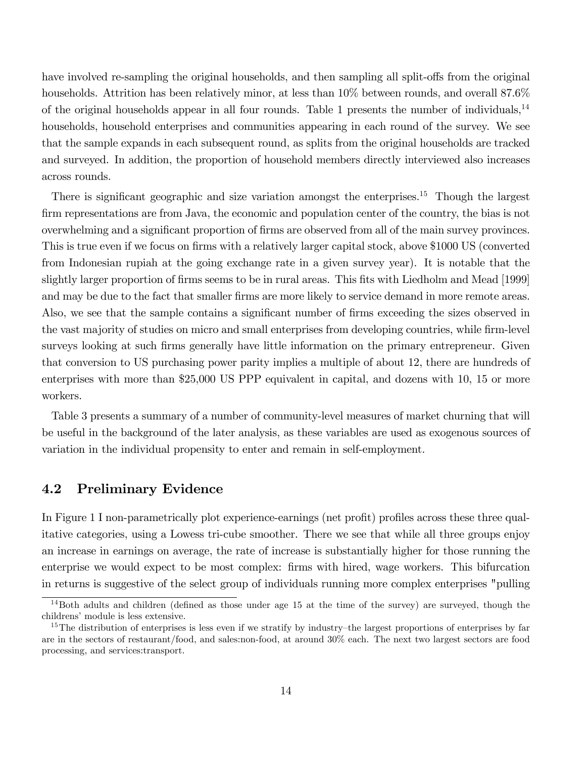have involved re-sampling the original households, and then sampling all split-offs from the original households. Attrition has been relatively minor, at less than  $10\%$  between rounds, and overall 87.6% of the original households appear in all four rounds. Table 1 presents the number of individuals,<sup>14</sup> households, household enterprises and communities appearing in each round of the survey. We see that the sample expands in each subsequent round, as splits from the original households are tracked and surveyed. In addition, the proportion of household members directly interviewed also increases across rounds.

There is significant geographic and size variation amongst the enterprises.<sup>15</sup> Though the largest firm representations are from Java, the economic and population center of the country, the bias is not overwhelming and a significant proportion of firms are observed from all of the main survey provinces. This is true even if we focus on firms with a relatively larger capital stock, above \$1000 US (converted from Indonesian rupiah at the going exchange rate in a given survey year). It is notable that the slightly larger proportion of firms seems to be in rural areas. This fits with Liedholm and Mead [1999] and may be due to the fact that smaller firms are more likely to service demand in more remote areas. Also, we see that the sample contains a significant number of firms exceeding the sizes observed in the vast majority of studies on micro and small enterprises from developing countries, while firm-level surveys looking at such firms generally have little information on the primary entrepreneur. Given that conversion to US purchasing power parity implies a multiple of about 12, there are hundreds of enterprises with more than \$25,000 US PPP equivalent in capital, and dozens with 10, 15 or more workers.

Table 3 presents a summary of a number of community-level measures of market churning that will be useful in the background of the later analysis, as these variables are used as exogenous sources of variation in the individual propensity to enter and remain in self-employment.

### 4.2 Preliminary Evidence

In Figure 1 I non-parametrically plot experience-earnings (net profit) profiles across these three qualitative categories, using a Lowess tri-cube smoother. There we see that while all three groups enjoy an increase in earnings on average, the rate of increase is substantially higher for those running the enterprise we would expect to be most complex: firms with hired, wage workers. This bifurcation in returns is suggestive of the select group of individuals running more complex enterprises "pulling

 $14$ Both adults and children (defined as those under age 15 at the time of the survey) are surveyed, though the childrens' module is less extensive.

<sup>&</sup>lt;sup>15</sup>The distribution of enterprises is less even if we stratify by industry–the largest proportions of enterprises by far are in the sectors of restaurant/food, and sales:non-food, at around 30% each. The next two largest sectors are food processing, and services:transport.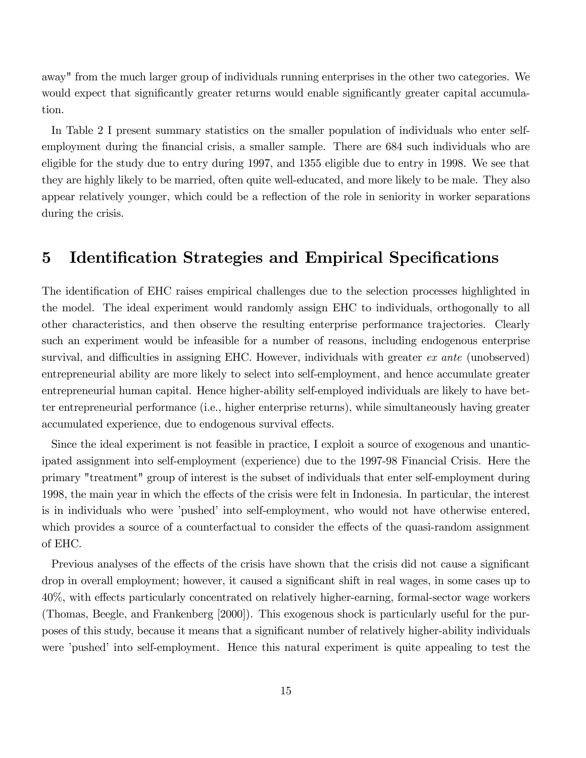away" from the much larger group of individuals running enterprises in the other two categories. We would expect that significantly greater returns would enable significantly greater capital accumulation.

In Table 2 I present summary statistics on the smaller population of individuals who enter selfemployment during the financial crisis, a smaller sample. There are 684 such individuals who are eligible for the study due to entry during 1997, and 1355 eligible due to entry in 1998. We see that they are highly likely to be married, often quite well-educated, and more likely to be male. They also appear relatively younger, which could be a reflection of the role in seniority in worker separations during the crisis.

## 5 Identification Strategies and Empirical Specifications

The identification of EHC raises empirical challenges due to the selection processes highlighted in the model. The ideal experiment would randomly assign EHC to individuals, orthogonally to all other characteristics, and then observe the resulting enterprise performance trajectories. Clearly such an experiment would be infeasible for a number of reasons, including endogenous enterprise survival, and difficulties in assigning EHC. However, individuals with greater  $ex$  ante (unobserved) entrepreneurial ability are more likely to select into self-employment, and hence accumulate greater entrepreneurial human capital. Hence higher-ability self-employed individuals are likely to have better entrepreneurial performance (i.e., higher enterprise returns), while simultaneously having greater accumulated experience, due to endogenous survival effects.

Since the ideal experiment is not feasible in practice, I exploit a source of exogenous and unanticipated assignment into self-employment (experience) due to the 1997-98 Financial Crisis. Here the primary "treatment" group of interest is the subset of individuals that enter self-employment during 1998, the main year in which the effects of the crisis were felt in Indonesia. In particular, the interest is in individuals who were 'pushed' into self-employment, who would not have otherwise entered, which provides a source of a counterfactual to consider the effects of the quasi-random assignment of EHC.

Previous analyses of the effects of the crisis have shown that the crisis did not cause a significant drop in overall employment; however, it caused a significant shift in real wages, in some cases up to 40%, with effects particularly concentrated on relatively higher-earning, formal-sector wage workers (Thomas, Beegle, and Frankenberg [2000]). This exogenous shock is particularly useful for the purposes of this study, because it means that a signiÖcant number of relatively higher-ability individuals were 'pushed' into self-employment. Hence this natural experiment is quite appealing to test the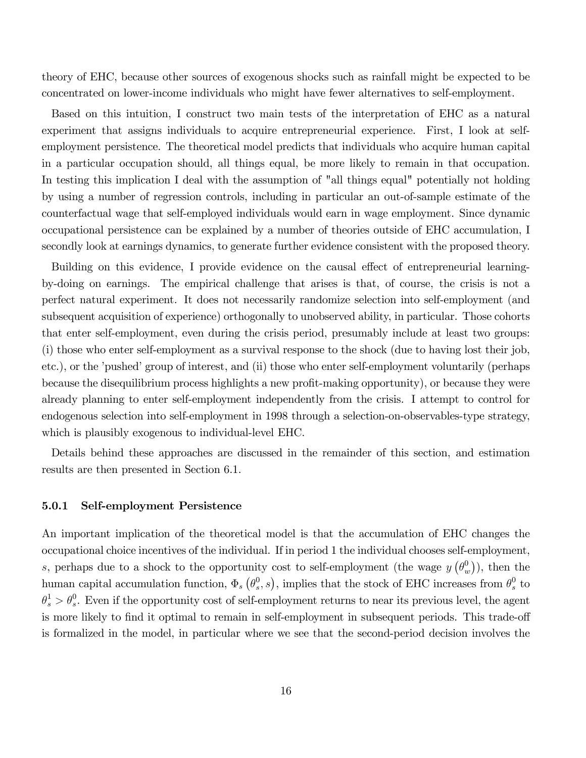theory of EHC, because other sources of exogenous shocks such as rainfall might be expected to be concentrated on lower-income individuals who might have fewer alternatives to self-employment.

Based on this intuition, I construct two main tests of the interpretation of EHC as a natural experiment that assigns individuals to acquire entrepreneurial experience. First, I look at selfemployment persistence. The theoretical model predicts that individuals who acquire human capital in a particular occupation should, all things equal, be more likely to remain in that occupation. In testing this implication I deal with the assumption of "all things equal" potentially not holding by using a number of regression controls, including in particular an out-of-sample estimate of the counterfactual wage that self-employed individuals would earn in wage employment. Since dynamic occupational persistence can be explained by a number of theories outside of EHC accumulation, I secondly look at earnings dynamics, to generate further evidence consistent with the proposed theory.

Building on this evidence, I provide evidence on the causal effect of entrepreneurial learningby-doing on earnings. The empirical challenge that arises is that, of course, the crisis is not a perfect natural experiment. It does not necessarily randomize selection into self-employment (and subsequent acquisition of experience) orthogonally to unobserved ability, in particular. Those cohorts that enter self-employment, even during the crisis period, presumably include at least two groups: (i) those who enter self-employment as a survival response to the shock (due to having lost their job, etc.), or the 'pushed' group of interest, and (ii) those who enter self-employment voluntarily (perhaps because the disequilibrium process highlights a new profit-making opportunity), or because they were already planning to enter self-employment independently from the crisis. I attempt to control for endogenous selection into self-employment in 1998 through a selection-on-observables-type strategy, which is plausibly exogenous to individual-level EHC.

Details behind these approaches are discussed in the remainder of this section, and estimation results are then presented in Section 6.1.

#### 5.0.1 Self-employment Persistence

An important implication of the theoretical model is that the accumulation of EHC changes the occupational choice incentives of the individual. If in period 1 the individual chooses self-employment, s, perhaps due to a shock to the opportunity cost to self-employment (the wage  $y(\theta_u^0)$  $\binom{0}{w}$ , then the human capital accumulation function,  $\Phi_s \left(\theta_s^0\right)$  $(s^0, s)$ , implies that the stock of EHC increases from  $\theta_s^0$  $\frac{0}{s}$  to  $\theta_s^1 > \theta_s^0$ . Even if the opportunity cost of self-employment returns to near its previous level, the agent is more likely to find it optimal to remain in self-employment in subsequent periods. This trade-off is formalized in the model, in particular where we see that the second-period decision involves the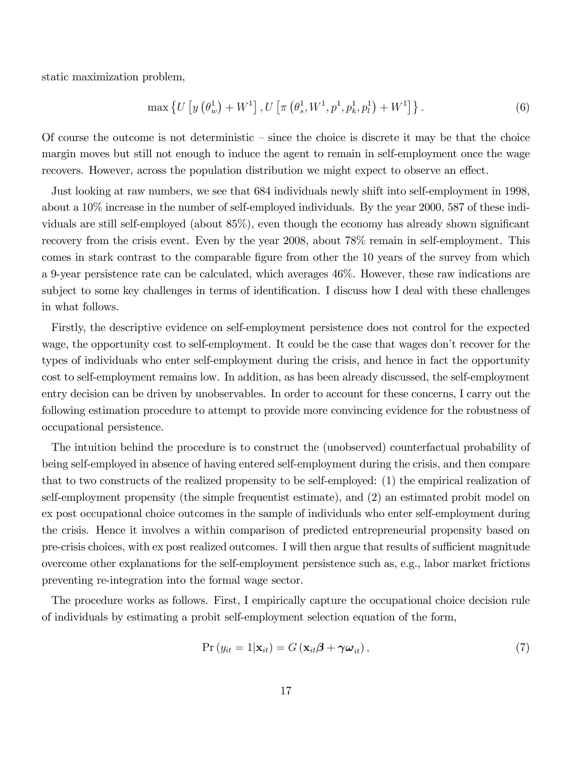static maximization problem,

$$
\max\left\{U\left[y\left(\theta_w^1\right)+W^1\right], U\left[\pi\left(\theta_s^1,W^1,p^1,p^1_k,p^1_l\right)+W^1\right]\right\}.
$$
\n(6)

Of course the outcome is not deterministic  $\overline{\phantom{a}}$  since the choice is discrete it may be that the choice margin moves but still not enough to induce the agent to remain in self-employment once the wage recovers. However, across the population distribution we might expect to observe an effect.

Just looking at raw numbers, we see that 684 individuals newly shift into self-employment in 1998, about a 10% increase in the number of self-employed individuals. By the year 2000, 587 of these individuals are still self-employed (about  $85\%$ ), even though the economy has already shown significant recovery from the crisis event. Even by the year 2008, about  $78\%$  remain in self-employment. This comes in stark contrast to the comparable figure from other the 10 years of the survey from which a 9-year persistence rate can be calculated, which averages 46%. However, these raw indications are subject to some key challenges in terms of identification. I discuss how I deal with these challenges in what follows.

Firstly, the descriptive evidence on self-employment persistence does not control for the expected wage, the opportunity cost to self-employment. It could be the case that wages don't recover for the types of individuals who enter self-employment during the crisis, and hence in fact the opportunity cost to self-employment remains low. In addition, as has been already discussed, the self-employment entry decision can be driven by unobservables. In order to account for these concerns, I carry out the following estimation procedure to attempt to provide more convincing evidence for the robustness of occupational persistence.

The intuition behind the procedure is to construct the (unobserved) counterfactual probability of being self-employed in absence of having entered self-employment during the crisis, and then compare that to two constructs of the realized propensity to be self-employed: (1) the empirical realization of self-employment propensity (the simple frequentist estimate), and (2) an estimated probit model on ex post occupational choice outcomes in the sample of individuals who enter self-employment during the crisis. Hence it involves a within comparison of predicted entrepreneurial propensity based on pre-crisis choices, with ex post realized outcomes. I will then argue that results of sufficient magnitude overcome other explanations for the self-employment persistence such as, e.g., labor market frictions preventing re-integration into the formal wage sector.

The procedure works as follows. First, I empirically capture the occupational choice decision rule of individuals by estimating a probit self-employment selection equation of the form,

$$
Pr(y_{it} = 1 | \mathbf{x}_{it}) = G(\mathbf{x}_{it} \boldsymbol{\beta} + \boldsymbol{\gamma} \boldsymbol{\omega}_{it}),
$$
\n(7)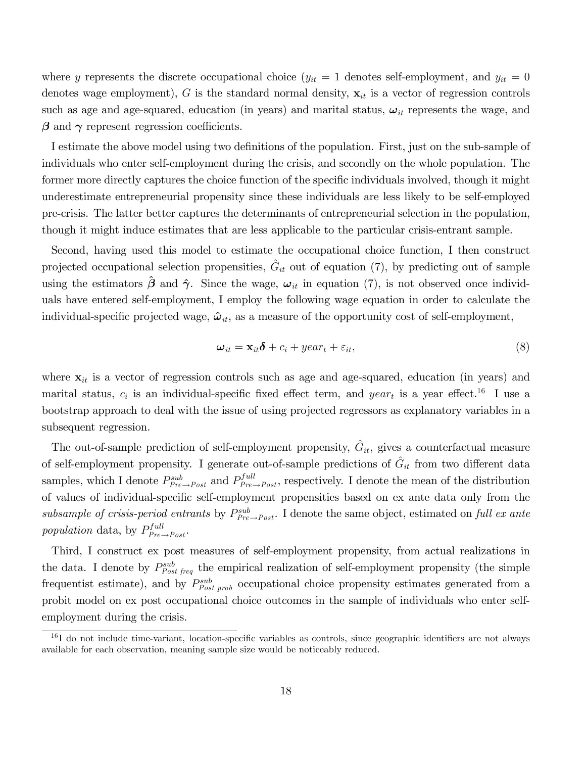where y represents the discrete occupational choice  $(y_{it} = 1$  denotes self-employment, and  $y_{it} = 0$ denotes wage employment), G is the standard normal density,  $x_{it}$  is a vector of regression controls such as age and age-squared, education (in years) and marital status,  $\omega_{it}$  represents the wage, and  $\beta$  and  $\gamma$  represent regression coefficients.

I estimate the above model using two definitions of the population. First, just on the sub-sample of individuals who enter self-employment during the crisis, and secondly on the whole population. The former more directly captures the choice function of the specific individuals involved, though it might underestimate entrepreneurial propensity since these individuals are less likely to be self-employed pre-crisis. The latter better captures the determinants of entrepreneurial selection in the population, though it might induce estimates that are less applicable to the particular crisis-entrant sample.

Second, having used this model to estimate the occupational choice function, I then construct projected occupational selection propensities,  $\hat{G}_{it}$  out of equation (7), by predicting out of sample using the estimators  $\hat{\boldsymbol{\beta}}$  and  $\hat{\boldsymbol{\gamma}}$ . Since the wage,  $\boldsymbol{\omega}_{it}$  in equation (7), is not observed once individuals have entered self-employment, I employ the following wage equation in order to calculate the individual-specific projected wage,  $\hat{\omega}_{it}$ , as a measure of the opportunity cost of self-employment,

$$
\boldsymbol{\omega}_{it} = \mathbf{x}_{it} \boldsymbol{\delta} + c_i + \text{year}_t + \varepsilon_{it}, \tag{8}
$$

where  $x_{it}$  is a vector of regression controls such as age and age-squared, education (in years) and marital status,  $c_i$  is an individual-specific fixed effect term, and  $year_t$  is a year effect.<sup>16</sup> I use a bootstrap approach to deal with the issue of using projected regressors as explanatory variables in a subsequent regression.

The out-of-sample prediction of self-employment propensity,  $\hat{G}_{it}$ , gives a counterfactual measure of self-employment propensity. I generate out-of-sample predictions of  $\hat{G}_{it}$  from two different data samples, which I denote  $P_{Pre \to Post}^{sub}$  and  $P_{Pre \to Post}^{full}$ , respectively. I denote the mean of the distribution of values of individual-specific self-employment propensities based on ex ante data only from the subsample of crisis-period entrants by  $P_{Pre\rightarrow Post}^{sub}$ . I denote the same object, estimated on full ex ante population data, by  $P_{Pre \rightarrow Post}^{full}$ .

Third, I construct ex post measures of self-employment propensity, from actual realizations in the data. I denote by  $P_{Post\, freq}^{sub}$  the empirical realization of self-employment propensity (the simple frequentist estimate), and by  $P_{Post\;prob}^{sub}$  occupational choice propensity estimates generated from a probit model on ex post occupational choice outcomes in the sample of individuals who enter selfemployment during the crisis.

 $^{16}$ I do not include time-variant, location-specific variables as controls, since geographic identifiers are not always available for each observation, meaning sample size would be noticeably reduced.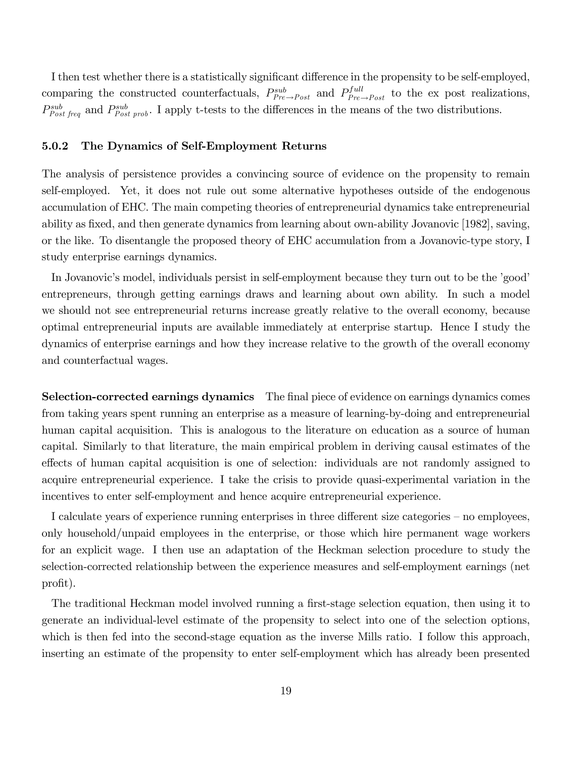I then test whether there is a statistically significant difference in the propensity to be self-employed, comparing the constructed counterfactuals,  $P_{Pre\to Post}^{sub}$  and  $P_{Pre\to Post}^{full}$  to the ex post realizations,  $P_{Post\, freq}^{sub}$  and  $P_{Post\, prob}^{sub}$ . I apply t-tests to the differences in the means of the two distributions.

#### 5.0.2 The Dynamics of Self-Employment Returns

The analysis of persistence provides a convincing source of evidence on the propensity to remain self-employed. Yet, it does not rule out some alternative hypotheses outside of the endogenous accumulation of EHC. The main competing theories of entrepreneurial dynamics take entrepreneurial ability as fixed, and then generate dynamics from learning about own-ability Jovanovic [1982], saving, or the like. To disentangle the proposed theory of EHC accumulation from a Jovanovic-type story, I study enterprise earnings dynamics.

In Jovanovic's model, individuals persist in self-employment because they turn out to be the 'good' entrepreneurs, through getting earnings draws and learning about own ability. In such a model we should not see entrepreneurial returns increase greatly relative to the overall economy, because optimal entrepreneurial inputs are available immediately at enterprise startup. Hence I study the dynamics of enterprise earnings and how they increase relative to the growth of the overall economy and counterfactual wages.

Selection-corrected earnings dynamics The final piece of evidence on earnings dynamics comes from taking years spent running an enterprise as a measure of learning-by-doing and entrepreneurial human capital acquisition. This is analogous to the literature on education as a source of human capital. Similarly to that literature, the main empirical problem in deriving causal estimates of the effects of human capital acquisition is one of selection: individuals are not randomly assigned to acquire entrepreneurial experience. I take the crisis to provide quasi-experimental variation in the incentives to enter self-employment and hence acquire entrepreneurial experience.

I calculate years of experience running enterprises in three different size categories – no employees, only household/unpaid employees in the enterprise, or those which hire permanent wage workers for an explicit wage. I then use an adaptation of the Heckman selection procedure to study the selection-corrected relationship between the experience measures and self-employment earnings (net profit).

The traditional Heckman model involved running a first-stage selection equation, then using it to generate an individual-level estimate of the propensity to select into one of the selection options, which is then fed into the second-stage equation as the inverse Mills ratio. I follow this approach, inserting an estimate of the propensity to enter self-employment which has already been presented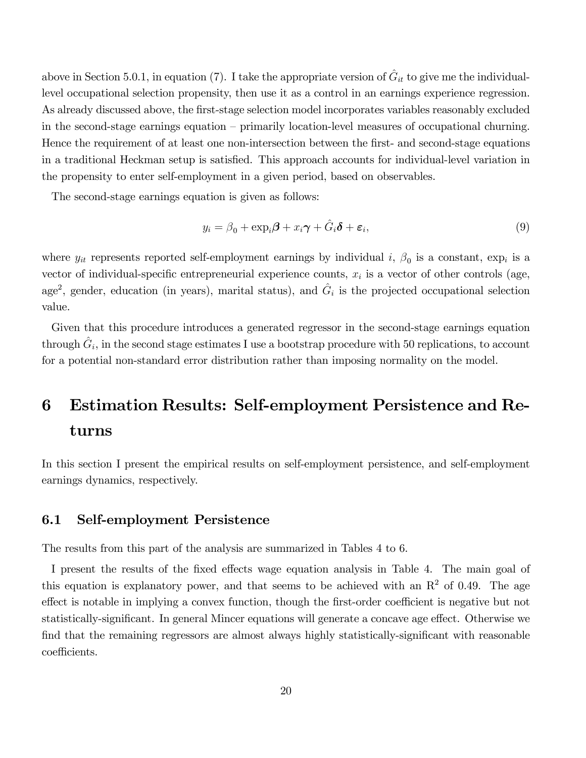above in Section 5.0.1, in equation (7). I take the appropriate version of  $\hat{G}_{it}$  to give me the individuallevel occupational selection propensity, then use it as a control in an earnings experience regression. As already discussed above, the first-stage selection model incorporates variables reasonably excluded in the second-stage earnings equation  $-$  primarily location-level measures of occupational churning. Hence the requirement of at least one non-intersection between the first- and second-stage equations in a traditional Heckman setup is satisfied. This approach accounts for individual-level variation in the propensity to enter self-employment in a given period, based on observables.

The second-stage earnings equation is given as follows:

$$
y_i = \beta_0 + \exp_i \boldsymbol{\beta} + x_i \boldsymbol{\gamma} + \hat{G}_i \boldsymbol{\delta} + \boldsymbol{\varepsilon}_i, \tag{9}
$$

where  $y_{it}$  represents reported self-employment earnings by individual i,  $\beta_0$  is a constant,  $\exp_i$  is a vector of individual-specific entrepreneurial experience counts,  $x_i$  is a vector of other controls (age, age<sup>2</sup>, gender, education (in years), marital status), and  $\hat{G}_i$  is the projected occupational selection value.

Given that this procedure introduces a generated regressor in the second-stage earnings equation through  $\hat{G}_i$ , in the second stage estimates I use a bootstrap procedure with 50 replications, to account for a potential non-standard error distribution rather than imposing normality on the model.

# 6 Estimation Results: Self-employment Persistence and Returns

In this section I present the empirical results on self-employment persistence, and self-employment earnings dynamics, respectively.

### 6.1 Self-employment Persistence

The results from this part of the analysis are summarized in Tables 4 to 6.

I present the results of the fixed effects wage equation analysis in Table 4. The main goal of this equation is explanatory power, and that seems to be achieved with an  $R<sup>2</sup>$  of 0.49. The age effect is notable in implying a convex function, though the first-order coefficient is negative but not statistically-significant. In general Mincer equations will generate a concave age effect. Otherwise we find that the remaining regressors are almost always highly statistically-significant with reasonable coefficients.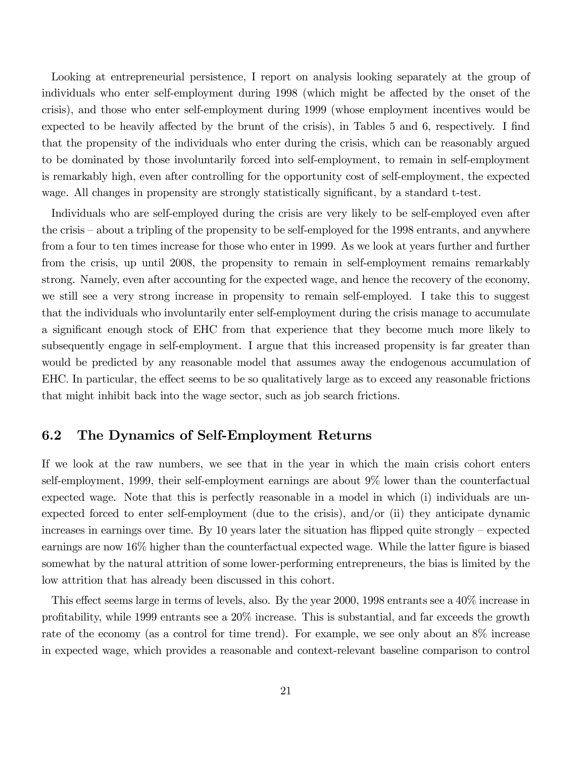Looking at entrepreneurial persistence, I report on analysis looking separately at the group of individuals who enter self-employment during 1998 (which might be affected by the onset of the crisis), and those who enter self-employment during 1999 (whose employment incentives would be expected to be heavily affected by the brunt of the crisis), in Tables 5 and 6, respectively. I find that the propensity of the individuals who enter during the crisis, which can be reasonably argued to be dominated by those involuntarily forced into self-employment, to remain in self-employment is remarkably high, even after controlling for the opportunity cost of self-employment, the expected wage. All changes in propensity are strongly statistically significant, by a standard t-test.

Individuals who are self-employed during the crisis are very likely to be self-employed even after the crisis – about a tripling of the propensity to be self-employed for the 1998 entrants, and anywhere from a four to ten times increase for those who enter in 1999. As we look at years further and further from the crisis, up until 2008, the propensity to remain in self-employment remains remarkably strong. Namely, even after accounting for the expected wage, and hence the recovery of the economy, we still see a very strong increase in propensity to remain self-employed. I take this to suggest that the individuals who involuntarily enter self-employment during the crisis manage to accumulate a significant enough stock of EHC from that experience that they become much more likely to subsequently engage in self-employment. I argue that this increased propensity is far greater than would be predicted by any reasonable model that assumes away the endogenous accumulation of EHC. In particular, the effect seems to be so qualitatively large as to exceed any reasonable frictions that might inhibit back into the wage sector, such as job search frictions.

## 6.2 The Dynamics of Self-Employment Returns

If we look at the raw numbers, we see that in the year in which the main crisis cohort enters self-employment, 1999, their self-employment earnings are about 9% lower than the counterfactual expected wage. Note that this is perfectly reasonable in a model in which (i) individuals are unexpected forced to enter self-employment (due to the crisis), and/or (ii) they anticipate dynamic increases in earnings over time. By 10 years later the situation has flipped quite strongly  $-$  expected earnings are now  $16\%$  higher than the counterfactual expected wage. While the latter figure is biased somewhat by the natural attrition of some lower-performing entrepreneurs, the bias is limited by the low attrition that has already been discussed in this cohort.

This effect seems large in terms of levels, also. By the year  $2000$ , 1998 entrants see a  $40\%$  increase in proÖtability, while 1999 entrants see a 20% increase. This is substantial, and far exceeds the growth rate of the economy (as a control for time trend). For example, we see only about an 8% increase in expected wage, which provides a reasonable and context-relevant baseline comparison to control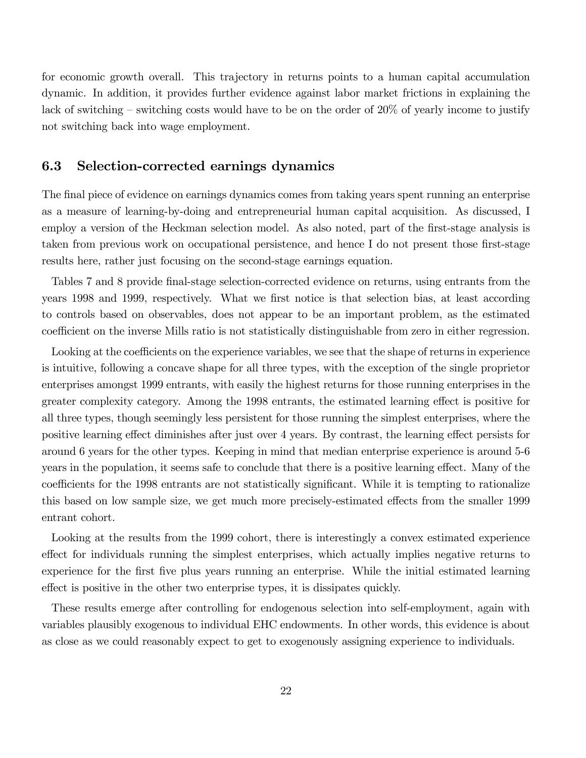for economic growth overall. This trajectory in returns points to a human capital accumulation dynamic. In addition, it provides further evidence against labor market frictions in explaining the lack of switching  $\sim$  switching costs would have to be on the order of 20% of yearly income to justify not switching back into wage employment.

#### 6.3 Selection-corrected earnings dynamics

The final piece of evidence on earnings dynamics comes from taking years spent running an enterprise as a measure of learning-by-doing and entrepreneurial human capital acquisition. As discussed, I employ a version of the Heckman selection model. As also noted, part of the first-stage analysis is taken from previous work on occupational persistence, and hence I do not present those first-stage results here, rather just focusing on the second-stage earnings equation.

Tables 7 and 8 provide final-stage selection-corrected evidence on returns, using entrants from the years 1998 and 1999, respectively. What we first notice is that selection bias, at least according to controls based on observables, does not appear to be an important problem, as the estimated coefficient on the inverse Mills ratio is not statistically distinguishable from zero in either regression.

Looking at the coefficients on the experience variables, we see that the shape of returns in experience is intuitive, following a concave shape for all three types, with the exception of the single proprietor enterprises amongst 1999 entrants, with easily the highest returns for those running enterprises in the greater complexity category. Among the 1998 entrants, the estimated learning effect is positive for all three types, though seemingly less persistent for those running the simplest enterprises, where the positive learning effect diminishes after just over 4 years. By contrast, the learning effect persists for around 6 years for the other types. Keeping in mind that median enterprise experience is around 5-6 years in the population, it seems safe to conclude that there is a positive learning effect. Many of the coefficients for the 1998 entrants are not statistically significant. While it is tempting to rationalize this based on low sample size, we get much more precisely-estimated effects from the smaller 1999 entrant cohort.

Looking at the results from the 1999 cohort, there is interestingly a convex estimated experience effect for individuals running the simplest enterprises, which actually implies negative returns to experience for the first five plus years running an enterprise. While the initial estimated learning effect is positive in the other two enterprise types, it is dissipates quickly.

These results emerge after controlling for endogenous selection into self-employment, again with variables plausibly exogenous to individual EHC endowments. In other words, this evidence is about as close as we could reasonably expect to get to exogenously assigning experience to individuals.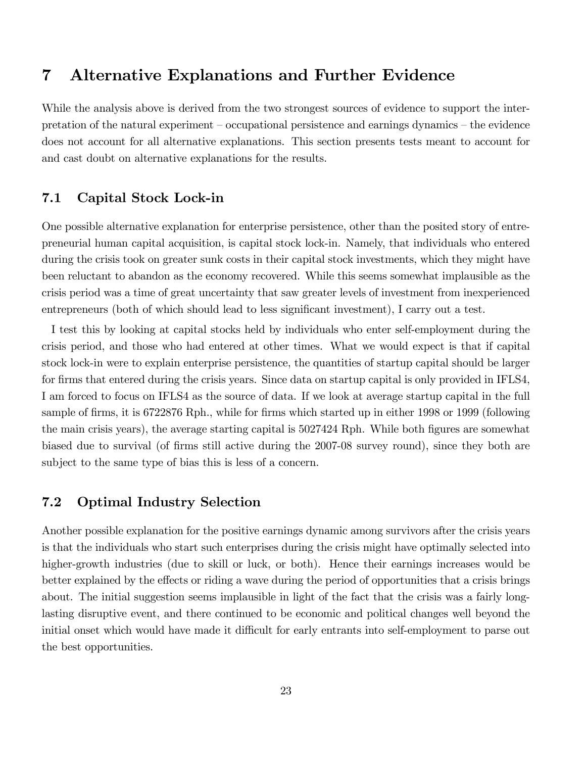## 7 Alternative Explanations and Further Evidence

While the analysis above is derived from the two strongest sources of evidence to support the interpretation of the natural experiment  $\overline{\phantom{a}}$   $\overline{\phantom{a}}$  coccupational persistence and earnings dynamics  $\overline{\phantom{a}}$  the evidence does not account for all alternative explanations. This section presents tests meant to account for and cast doubt on alternative explanations for the results.

## 7.1 Capital Stock Lock-in

One possible alternative explanation for enterprise persistence, other than the posited story of entrepreneurial human capital acquisition, is capital stock lock-in. Namely, that individuals who entered during the crisis took on greater sunk costs in their capital stock investments, which they might have been reluctant to abandon as the economy recovered. While this seems somewhat implausible as the crisis period was a time of great uncertainty that saw greater levels of investment from inexperienced entrepreneurs (both of which should lead to less significant investment), I carry out a test.

I test this by looking at capital stocks held by individuals who enter self-employment during the crisis period, and those who had entered at other times. What we would expect is that if capital stock lock-in were to explain enterprise persistence, the quantities of startup capital should be larger for firms that entered during the crisis years. Since data on startup capital is only provided in IFLS4, I am forced to focus on IFLS4 as the source of data. If we look at average startup capital in the full sample of firms, it is 6722876 Rph., while for firms which started up in either 1998 or 1999 (following the main crisis years), the average starting capital is  $5027424$  Rph. While both figures are somewhat biased due to survival (of firms still active during the 2007-08 survey round), since they both are subject to the same type of bias this is less of a concern.

### 7.2 Optimal Industry Selection

Another possible explanation for the positive earnings dynamic among survivors after the crisis years is that the individuals who start such enterprises during the crisis might have optimally selected into higher-growth industries (due to skill or luck, or both). Hence their earnings increases would be better explained by the effects or riding a wave during the period of opportunities that a crisis brings about. The initial suggestion seems implausible in light of the fact that the crisis was a fairly longlasting disruptive event, and there continued to be economic and political changes well beyond the initial onset which would have made it difficult for early entrants into self-employment to parse out the best opportunities.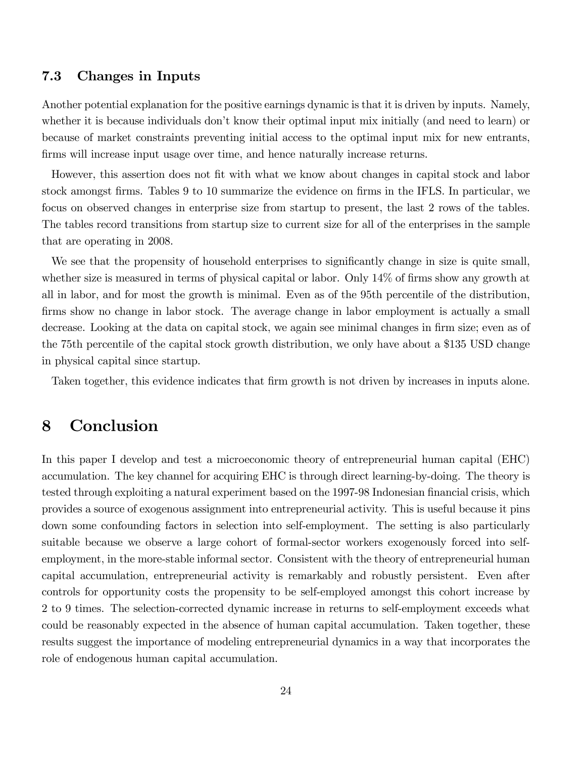### 7.3 Changes in Inputs

Another potential explanation for the positive earnings dynamic is that it is driven by inputs. Namely, whether it is because individuals don't know their optimal input mix initially (and need to learn) or because of market constraints preventing initial access to the optimal input mix for new entrants, firms will increase input usage over time, and hence naturally increase returns.

However, this assertion does not fit with what we know about changes in capital stock and labor stock amongst firms. Tables 9 to 10 summarize the evidence on firms in the IFLS. In particular, we focus on observed changes in enterprise size from startup to present, the last 2 rows of the tables. The tables record transitions from startup size to current size for all of the enterprises in the sample that are operating in 2008.

We see that the propensity of household enterprises to significantly change in size is quite small, whether size is measured in terms of physical capital or labor. Only  $14\%$  of firms show any growth at all in labor, and for most the growth is minimal. Even as of the 95th percentile of the distribution, firms show no change in labor stock. The average change in labor employment is actually a small decrease. Looking at the data on capital stock, we again see minimal changes in firm size; even as of the 75th percentile of the capital stock growth distribution, we only have about a \$135 USD change in physical capital since startup.

Taken together, this evidence indicates that firm growth is not driven by increases in inputs alone.

## 8 Conclusion

In this paper I develop and test a microeconomic theory of entrepreneurial human capital (EHC) accumulation. The key channel for acquiring EHC is through direct learning-by-doing. The theory is tested through exploiting a natural experiment based on the 1997-98 Indonesian financial crisis, which provides a source of exogenous assignment into entrepreneurial activity. This is useful because it pins down some confounding factors in selection into self-employment. The setting is also particularly suitable because we observe a large cohort of formal-sector workers exogenously forced into selfemployment, in the more-stable informal sector. Consistent with the theory of entrepreneurial human capital accumulation, entrepreneurial activity is remarkably and robustly persistent. Even after controls for opportunity costs the propensity to be self-employed amongst this cohort increase by 2 to 9 times. The selection-corrected dynamic increase in returns to self-employment exceeds what could be reasonably expected in the absence of human capital accumulation. Taken together, these results suggest the importance of modeling entrepreneurial dynamics in a way that incorporates the role of endogenous human capital accumulation.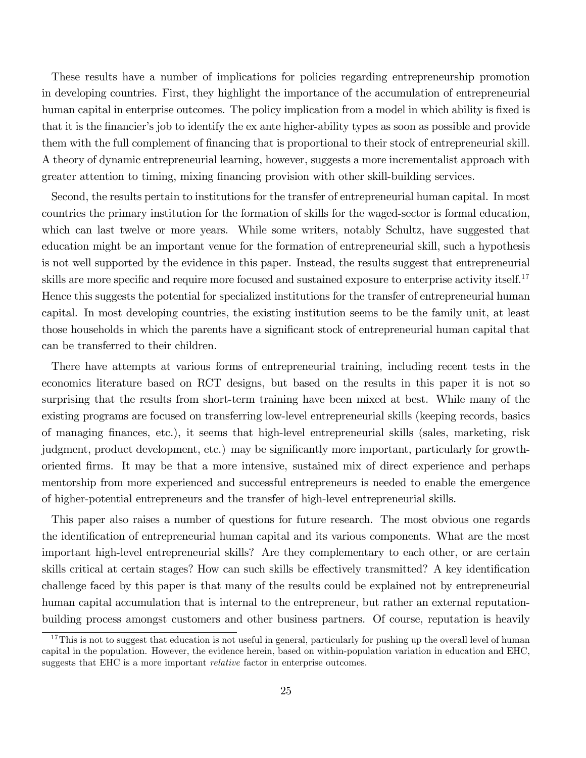These results have a number of implications for policies regarding entrepreneurship promotion in developing countries. First, they highlight the importance of the accumulation of entrepreneurial human capital in enterprise outcomes. The policy implication from a model in which ability is fixed is that it is the financier's job to identify the ex ante higher-ability types as soon as possible and provide them with the full complement of financing that is proportional to their stock of entrepreneurial skill. A theory of dynamic entrepreneurial learning, however, suggests a more incrementalist approach with greater attention to timing, mixing financing provision with other skill-building services.

Second, the results pertain to institutions for the transfer of entrepreneurial human capital. In most countries the primary institution for the formation of skills for the waged-sector is formal education, which can last twelve or more years. While some writers, notably Schultz, have suggested that education might be an important venue for the formation of entrepreneurial skill, such a hypothesis is not well supported by the evidence in this paper. Instead, the results suggest that entrepreneurial skills are more specific and require more focused and sustained exposure to enterprise activity itself.<sup>17</sup> Hence this suggests the potential for specialized institutions for the transfer of entrepreneurial human capital. In most developing countries, the existing institution seems to be the family unit, at least those households in which the parents have a significant stock of entrepreneurial human capital that can be transferred to their children.

There have attempts at various forms of entrepreneurial training, including recent tests in the economics literature based on RCT designs, but based on the results in this paper it is not so surprising that the results from short-term training have been mixed at best. While many of the existing programs are focused on transferring low-level entrepreneurial skills (keeping records, basics of managing Önances, etc.), it seems that high-level entrepreneurial skills (sales, marketing, risk judgment, product development, etc.) may be significantly more important, particularly for growthoriented Örms. It may be that a more intensive, sustained mix of direct experience and perhaps mentorship from more experienced and successful entrepreneurs is needed to enable the emergence of higher-potential entrepreneurs and the transfer of high-level entrepreneurial skills.

This paper also raises a number of questions for future research. The most obvious one regards the identification of entrepreneurial human capital and its various components. What are the most important high-level entrepreneurial skills? Are they complementary to each other, or are certain skills critical at certain stages? How can such skills be effectively transmitted? A key identification challenge faced by this paper is that many of the results could be explained not by entrepreneurial human capital accumulation that is internal to the entrepreneur, but rather an external reputationbuilding process amongst customers and other business partners. Of course, reputation is heavily

<sup>&</sup>lt;sup>17</sup>This is not to suggest that education is not useful in general, particularly for pushing up the overall level of human capital in the population. However, the evidence herein, based on within-population variation in education and EHC, suggests that EHC is a more important relative factor in enterprise outcomes.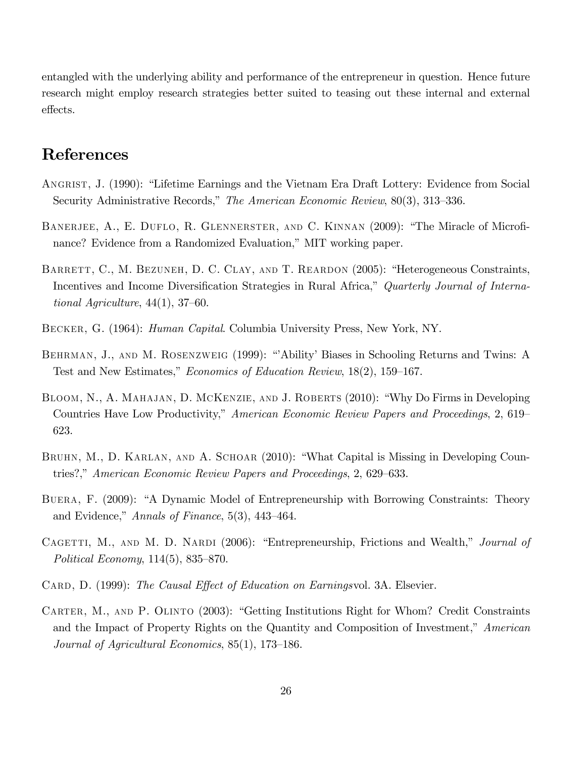entangled with the underlying ability and performance of the entrepreneur in question. Hence future research might employ research strategies better suited to teasing out these internal and external effects.

## References

- ANGRIST, J. (1990): "Lifetime Earnings and the Vietnam Era Draft Lottery: Evidence from Social Security Administrative Records," The American Economic Review, 80(3), 313–336.
- BANERJEE, A., E. DUFLO, R. GLENNERSTER, AND C. KINNAN (2009): "The Miracle of Microfinance? Evidence from a Randomized Evaluation," MIT working paper.
- BARRETT, C., M. BEZUNEH, D. C. CLAY, AND T. REARDON (2005): "Heterogeneous Constraints, Incentives and Income Diversification Strategies in Rural Africa," Quarterly Journal of International Agriculture,  $44(1)$ ,  $37-60$ .
- Becker, G. (1964): Human Capital. Columbia University Press, New York, NY.
- BEHRMAN, J., AND M. ROSENZWEIG (1999): "Ability' Biases in Schooling Returns and Twins: A Test and New Estimates," Economics of Education Review, 18(2), 159–167.
- BLOOM, N., A. MAHAJAN, D. MCKENZIE, AND J. ROBERTS (2010): "Why Do Firms in Developing Countries Have Low Productivity," American Economic Review Papers and Proceedings, 2, 619 623.
- BRUHN, M., D. KARLAN, AND A. SCHOAR (2010): "What Capital is Missing in Developing Countries?," American Economic Review Papers and Proceedings, 2, 629–633.
- BUERA, F. (2009): "A Dynamic Model of Entrepreneurship with Borrowing Constraints: Theory and Evidence," Annals of Finance,  $5(3)$ ,  $443-464$ .
- CAGETTI, M., AND M. D. NARDI (2006): "Entrepreneurship, Frictions and Wealth," Journal of Political Economy,  $114(5)$ ,  $835-870$ .
- CARD, D. (1999): The Causal Effect of Education on Earningsvol. 3A. Elsevier.
- CARTER, M., AND P. OLINTO (2003): "Getting Institutions Right for Whom? Credit Constraints and the Impact of Property Rights on the Quantity and Composition of Investment," American Journal of Agricultural Economics,  $85(1)$ , 173–186.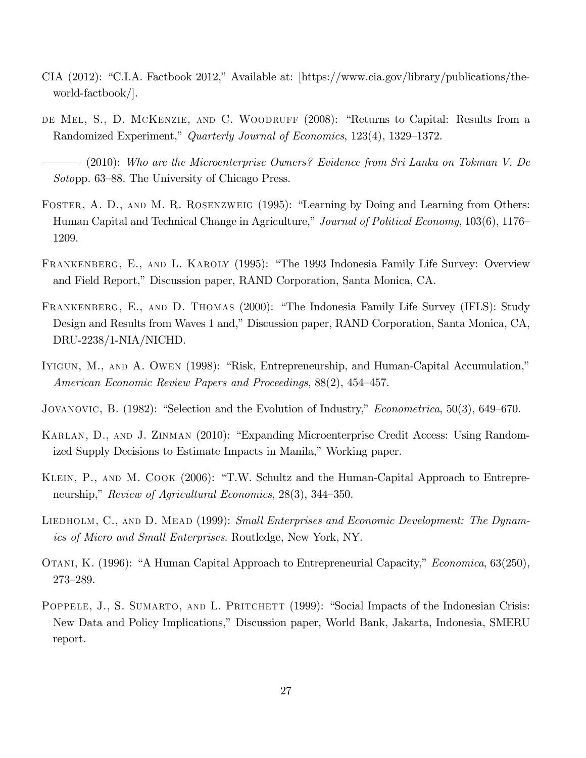- CIA (2012): "C.I.A. Factbook 2012," Available at:  $[\text{https://www.cia.gov/library/publications/the-}$ world-factbook/].
- DE MEL, S., D. MCKENZIE, AND C. WOODRUFF (2008): "Returns to Capital: Results from a Randomized Experiment," Quarterly Journal of Economics, 123(4), 1329–1372.

(2010): Who are the Microenterprise Owners? Evidence from Sri Lanka on Tokman V. De Sotopp. 63–88. The University of Chicago Press.

- FOSTER, A. D., AND M. R. ROSENZWEIG (1995): "Learning by Doing and Learning from Others: Human Capital and Technical Change in Agriculture," Journal of Political Economy, 103(6), 1176 1209.
- FRANKENBERG, E., AND L. KAROLY (1995): "The 1993 Indonesia Family Life Survey: Overview and Field Report," Discussion paper, RAND Corporation, Santa Monica, CA.
- FRANKENBERG, E., AND D. THOMAS (2000): "The Indonesia Family Life Survey (IFLS): Study Design and Results from Waves 1 and," Discussion paper, RAND Corporation, Santa Monica, CA, DRU-2238/1-NIA/NICHD.
- IYIGUN, M., AND A. OWEN (1998): "Risk, Entrepreneurship, and Human-Capital Accumulation," American Economic Review Papers and Proceedings,  $88(2)$ ,  $454-457$ .
- JOVANOVIC, B.  $(1982)$ : "Selection and the Evolution of Industry," *Econometrica*, 50(3), 649–670.
- KARLAN, D., AND J. ZINMAN (2010): "Expanding Microenterprise Credit Access: Using Randomized Supply Decisions to Estimate Impacts in Manila," Working paper.
- KLEIN, P., AND M. COOK (2006): "T.W. Schultz and the Human-Capital Approach to Entrepreneurship," Review of Agricultural Economics,  $28(3)$ ,  $344-350$ .
- LIEDHOLM, C., AND D. MEAD (1999): Small Enterprises and Economic Development: The Dynamics of Micro and Small Enterprises. Routledge, New York, NY.
- OTANI, K. (1996): "A Human Capital Approach to Entrepreneurial Capacity," Economica, 63(250), 273-289.
- POPPELE, J., S. SUMARTO, AND L. PRITCHETT (1999): "Social Impacts of the Indonesian Crisis: New Data and Policy Implications," Discussion paper, World Bank, Jakarta, Indonesia, SMERU report.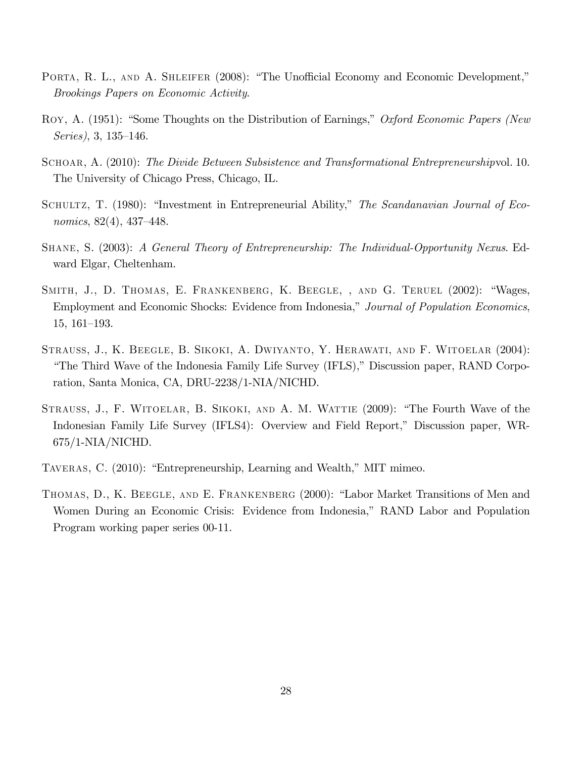- PORTA, R. L., AND A. SHLEIFER (2008): "The Unofficial Economy and Economic Development," Brookings Papers on Economic Activity.
- ROY, A. (1951): "Some Thoughts on the Distribution of Earnings," Oxford Economic Papers (New Series),  $3, 135-146$ .
- SCHOAR, A. (2010): The Divide Between Subsistence and Transformational Entrepreneurshipvol. 10. The University of Chicago Press, Chicago, IL.
- SCHULTZ, T. (1980): "Investment in Entrepreneurial Ability," The Scandanavian Journal of Economics,  $82(4)$ ,  $437-448$ .
- Shane, S. (2003): A General Theory of Entrepreneurship: The Individual-Opportunity Nexus. Edward Elgar, Cheltenham.
- SMITH, J., D. THOMAS, E. FRANKENBERG, K. BEEGLE, , AND G. TERUEL (2002): "Wages, Employment and Economic Shocks: Evidence from Indonesia," Journal of Population Economics,  $15, 161–193.$
- Strauss, J., K. Beegle, B. Sikoki, A. Dwiyanto, Y. Herawati, and F. Witoelar (2004): "The Third Wave of the Indonesia Family Life Survey (IFLS)," Discussion paper, RAND Corporation, Santa Monica, CA, DRU-2238/1-NIA/NICHD.
- STRAUSS, J., F. WITOELAR, B. SIKOKI, AND A. M. WATTIE (2009): "The Fourth Wave of the Indonesian Family Life Survey (IFLS4): Overview and Field Report," Discussion paper, WR-675/1-NIA/NICHD.
- TAVERAS, C. (2010): "Entrepreneurship, Learning and Wealth," MIT mimeo.
- THOMAS, D., K. BEEGLE, AND E. FRANKENBERG (2000): "Labor Market Transitions of Men and Women During an Economic Crisis: Evidence from Indonesia," RAND Labor and Population Program working paper series 00-11.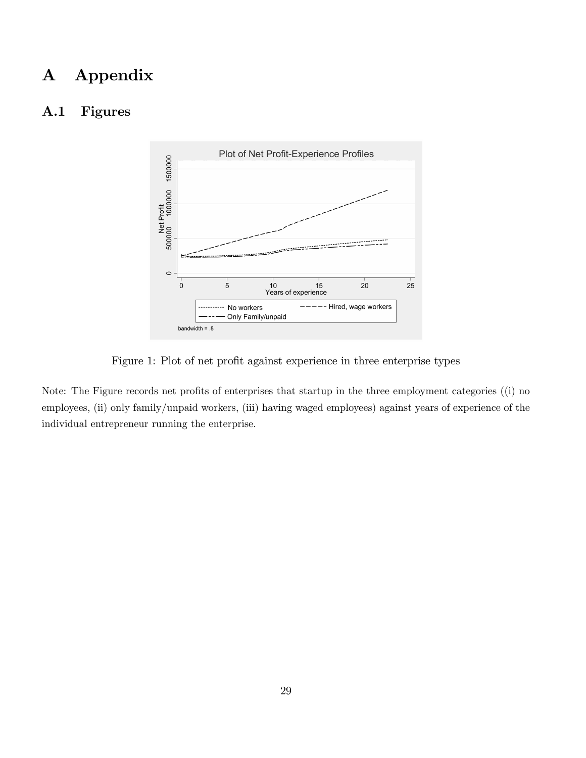## A Appendix

## A.1 Figures



Figure 1: Plot of net profit against experience in three enterprise types

Note: The Figure records net profits of enterprises that startup in the three employment categories ((i) no employees, (ii) only family/unpaid workers, (iii) having waged employees) against years of experience of the individual entrepreneur running the enterprise.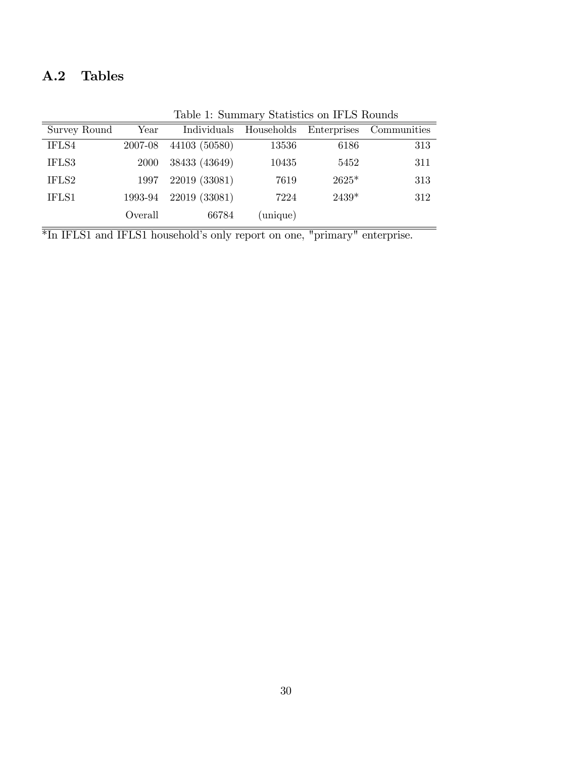## A.2 Tables

|              | Table 1. Dummary Diamones on 11 DD Trounds |               |                        |         |                         |  |  |
|--------------|--------------------------------------------|---------------|------------------------|---------|-------------------------|--|--|
| Survey Round | $\operatorname{Year}$                      |               | Individuals Households |         | Enterprises Communities |  |  |
| IFLS4        | 2007-08                                    | 44103 (50580) | 13536                  | 6186    | 313                     |  |  |
| IFLS3        | <b>2000</b>                                | 38433 (43649) | 10435                  | 5452    | 311                     |  |  |
| IFLS2        | 1997                                       | 22019 (33081) | 7619                   | $2625*$ | 313                     |  |  |
| IFLS1        | 1993-94                                    | 22019 (33081) | 7224                   | $2439*$ | 312                     |  |  |
|              | Overall                                    | 66784         | (unique)               |         |                         |  |  |

Table 1: Summary Statistics on IFLS Rounds

 $\overline{\text{*In IFLS1}}$  and IFLS1 household's only report on one, "primary" enterprise.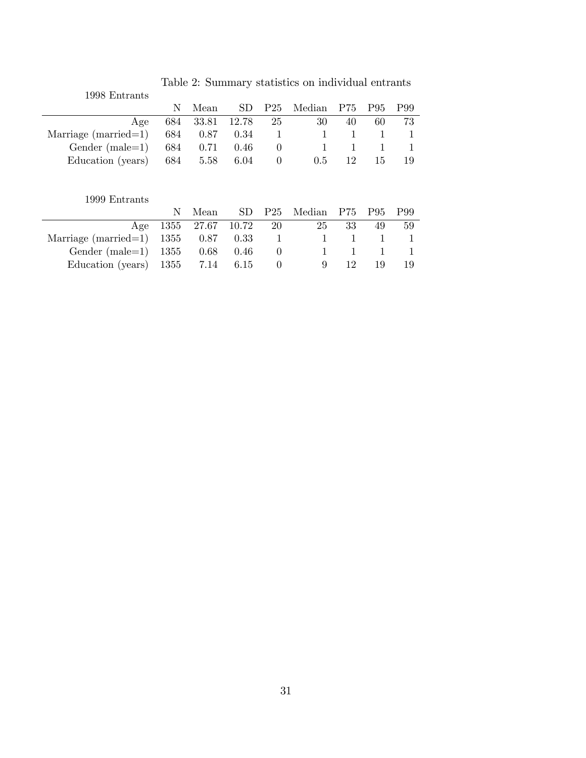| 1998 Entrants                              |    |                    |  |                                |    |             |     |
|--------------------------------------------|----|--------------------|--|--------------------------------|----|-------------|-----|
|                                            | N. |                    |  | Mean SD P25 Median P75 P95 P99 |    |             |     |
| Age                                        |    | 684 33.81 12.78 25 |  | -30                            | 40 | 60 -        | 73  |
| Marriage (married=1) 684 0.87 0.34 1 1 1 1 |    |                    |  |                                |    |             |     |
| Gender (male=1) $684$ 0.71 0.46 0          |    |                    |  |                                |    | $1 \t1 \t1$ |     |
| Education (years) $684$ $5.58$ $6.04$ 0    |    |                    |  | 0.5                            | 12 | 15.         | -19 |

Table 2: Summary statistics on individual entrants

### 1999 Entrants

|                                          |  |  | N Mean SD P25 Median P75 P95 P99                                         |      |     |    |
|------------------------------------------|--|--|--------------------------------------------------------------------------|------|-----|----|
|                                          |  |  | Age 1355 27.67 10.72 20 25 33 49 59                                      |      |     |    |
| Marriage (married=1) $1355$ 0.87 0.33 1  |  |  | $\begin{array}{ccccccccccccccccc} & & & 1 & & 1 & & 1 & & 1 \end{array}$ |      |     |    |
| Gender (male=1) 1355 0.68 0.46 0 1 1 1 1 |  |  |                                                                          |      |     |    |
| Education (years) $1355$ 7.14 6.15 0     |  |  |                                                                          | 9 12 | -19 | 19 |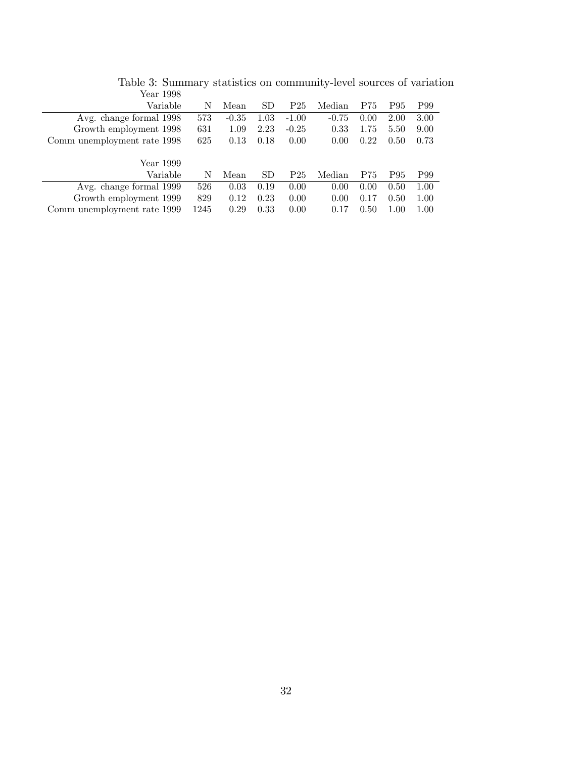| 1 VW1 1000                  |      |         |           |                 |         |      |      |      |
|-----------------------------|------|---------|-----------|-----------------|---------|------|------|------|
| Variable                    | N    | Mean    | SD        | P <sub>25</sub> | Median  | P75  | P95  | P99  |
| Avg. change formal 1998     | 573  | $-0.35$ | 1.03      | $-1.00$         | $-0.75$ | 0.00 | 2.00 | 3.00 |
| Growth employment 1998      | 631  | 1.09    | 2.23      | $-0.25$         | 0.33    | 1.75 | 5.50 | 9.00 |
| Comm unemployment rate 1998 | 625  | 0.13    | 0.18      | 0.00            | 0.00    | 0.22 | 0.50 | 0.73 |
|                             |      |         |           |                 |         |      |      |      |
| Year 1999                   |      |         |           |                 |         |      |      |      |
| Variable                    | N    | Mean    | <b>SD</b> | P <sub>25</sub> | Median  | P75  | P95  | P99  |
| Avg. change formal 1999     | 526  | 0.03    | 0.19      | 0.00            | 0.00    | 0.00 | 0.50 | 1.00 |
| Growth employment 1999      | 829  | 0.12    | 0.23      | 0.00            | 0.00    | 0.17 | 0.50 | 1.00 |
| Comm unemployment rate 1999 | 1245 | 0.29    | 0.33      | 0.00            | 0.17    | 0.50 | 1.00 | 1.00 |
|                             |      |         |           |                 |         |      |      |      |

Table 3: Summary statistics on community-level sources of variation Year 1998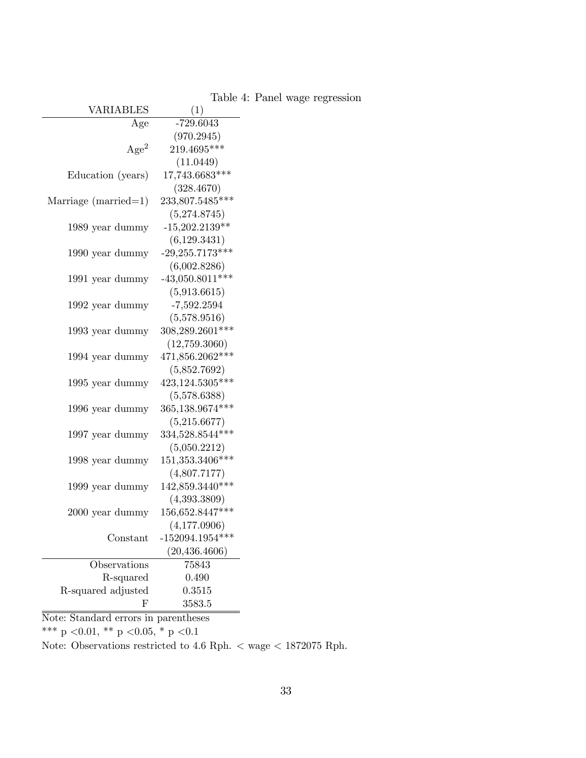| VARIABLES              | (1)               |
|------------------------|-------------------|
| Age                    | $-729.6043$       |
|                        | (970.2945)        |
| Age <sup>2</sup>       | 219.4695***       |
|                        | (11.0449)         |
| Education (years)      | 17,743.6683***    |
|                        | (328.4670)        |
| Marriage $(married=1)$ | 233,807.5485***   |
|                        | (5,274.8745)      |
| 1989 year dummy        | $-15,202.2139**$  |
|                        | (6,129.3431)      |
| 1990 year dummy        | $-29,255.7173***$ |
|                        | (6,002.8286)      |
| 1991 year dummy        | $-43,050.8011***$ |
|                        | (5,913.6615)      |
| 1992 year dummy        | $-7,592.2594$     |
|                        | (5,578.9516)      |
| 1993 year dummy        | 308,289.2601***   |
|                        | (12,759.3060)     |
| 1994 year dummy        | 471,856.2062***   |
|                        | (5,852.7692)      |
| 1995 year dummy        | 423,124.5305***   |
|                        | (5,578.6388)      |
| 1996 year dummy        | 365,138.9674***   |
|                        | (5,215.6677)      |
| 1997 year dummy        | $334,528.8544***$ |
|                        | (5,050.2212)      |
| 1998 year dummy        | 151,353.3406***   |
|                        | (4,807.7177)      |
| 1999 year dummy        | 142,859.3440***   |
|                        | (4,393.3809)      |
| 2000 year dummy        | 156,652.8447***   |
|                        | (4, 177.0906)     |
| Constant               | $-152094.1954***$ |
|                        | (20, 436.4606)    |
| Observations           | 75843             |
| R-squared              | 0.490             |
| R-squared adjusted     | 0.3515            |
| ${\rm F}$              | 3583.5            |

Table 4: Panel wage regression

Note: Standard errors in parentheses

 $\rm{***}$  p  $<\!\!0.01,\,{}^{\rm{**}}$  p  $<\!\!0.05,\,{}^{\rm{*}}$  p  $<\!\!0.1$ 

Note: Observations restricted to 4.6 Rph.  $<$  wage  $<$  1872075 Rph.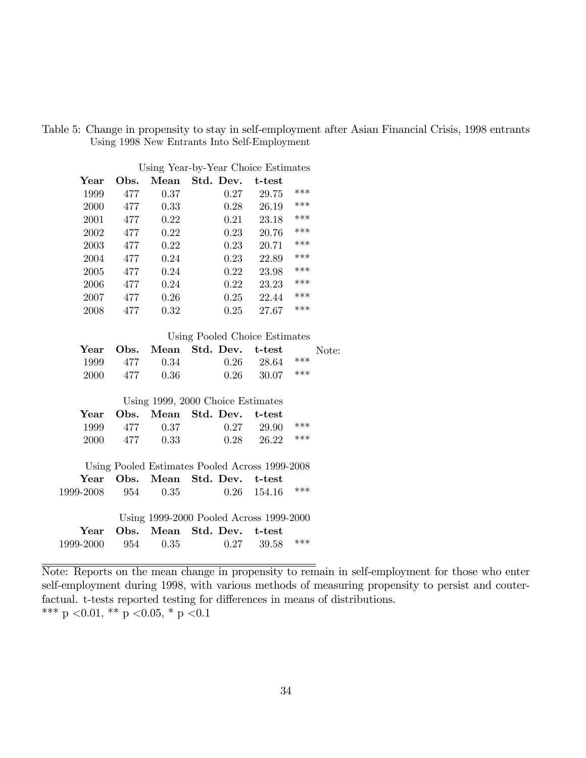|  | Table 5: Change in propensity to stay in self-employment after Asian Financial Crisis, 1998 entrants |  |  |  |
|--|------------------------------------------------------------------------------------------------------|--|--|--|
|  | Using 1998 New Entrants Into Self-Employment                                                         |  |  |  |

| Using Year-by-Year Choice Estimates |      |      |           |        |     |  |  |  |
|-------------------------------------|------|------|-----------|--------|-----|--|--|--|
| Year                                | Obs. | Mean | Std. Dev. | t-test |     |  |  |  |
| 1999                                | 477  | 0.37 | 0.27      | 29.75  | *** |  |  |  |
| 2000                                | 477  | 0.33 | 0.28      | 26.19  | *** |  |  |  |
| 2001                                | 477  | 0.22 | 0.21      | 23.18  | *** |  |  |  |
| 2002                                | 477  | 0.22 | 0.23      | 20.76  | *** |  |  |  |
| 2003                                | 477  | 0.22 | 0.23      | 20.71  | *** |  |  |  |
| 2004                                | 477  | 0.24 | 0.23      | 22.89  | *** |  |  |  |
| 2005                                | 477  | 0.24 | 0.22      | 23.98  | *** |  |  |  |
| 2006                                | 477  | 0.24 | 0.22      | 23.23  | *** |  |  |  |
| 2007                                | 477  | 0.26 | 0.25      | 22.44  | *** |  |  |  |
| 2008                                | 477  | 0.32 | 0.25      | 27.67  | *** |  |  |  |

Using Pooled Choice Estimates

|  |               | Year Obs. Mean Std. Dev. t-test Note: |                    |  |
|--|---------------|---------------------------------------|--------------------|--|
|  | 1999 477 0.34 | $0.26$ 28.64 ***                      |                    |  |
|  | 2000 477 0.36 |                                       | $0.26$ $30.07$ *** |  |

Using 1999, 2000 Choice Estimates

|  |               | Year Obs. Mean Std. Dev. t-test |                    |  |
|--|---------------|---------------------------------|--------------------|--|
|  | 1999 477 0.37 | $0.27$ 29.90 ***                |                    |  |
|  | 2000 477 0.33 |                                 | $0.28$ $26.22$ *** |  |

Using Pooled Estimates Pooled Across 1999-2008 Year Obs. Mean Std. Dev. t-test 1999-2008 954 0.35 0.26 154.16 \*\*\*

|                    |  | Using 1999-2000 Pooled Across 1999-2000 |                    |  |
|--------------------|--|-----------------------------------------|--------------------|--|
|                    |  | Year Obs. Mean Std. Dev. t-test         |                    |  |
| 1999-2000 954 0.35 |  |                                         | $0.27$ $39.58$ *** |  |

Note: Reports on the mean change in propensity to remain in self-employment for those who enter self-employment during 1998, with various methods of measuring propensity to persist and couterfactual. t-tests reported testing for differences in means of distributions. \*\*\* p < 0.01, \*\* p < 0.05, \* p < 0.1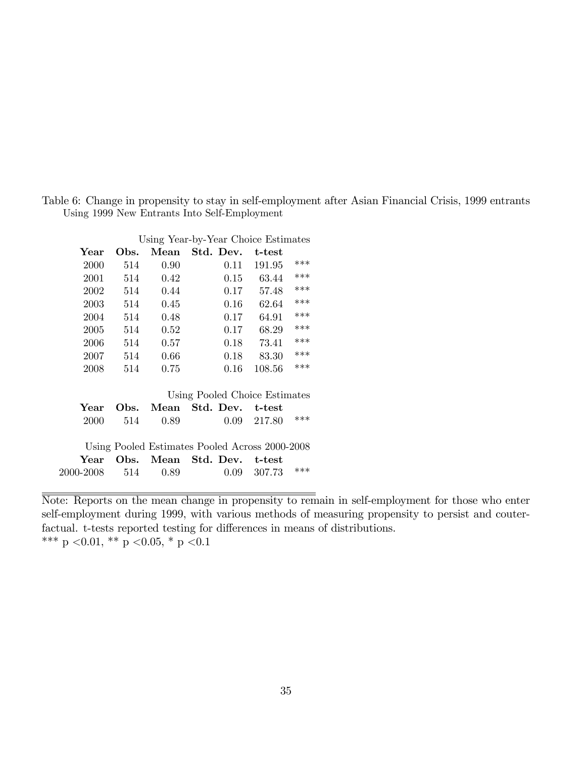Table 6: Change in propensity to stay in self-employment after Asian Financial Crisis, 1999 entrants Using 1999 New Entrants Into Self-Employment

| Using Year-by-Year Choice Estimates |      |      |                                                |        |       |  |  |  |
|-------------------------------------|------|------|------------------------------------------------|--------|-------|--|--|--|
| Year                                | Obs. | Mean | Std. Dev.                                      | t-test |       |  |  |  |
| 2000                                | 514  | 0.90 | 0.11                                           | 191.95 | $***$ |  |  |  |
| 2001                                | 514  | 0.42 | 0.15                                           | 63.44  | ***   |  |  |  |
| 2002                                | 514  | 0.44 | 0.17                                           | 57.48  | ***   |  |  |  |
| 2003                                | 514  | 0.45 | 0.16                                           | 62.64  | ***   |  |  |  |
| 2004                                | 514  | 0.48 | 0.17                                           | 64.91  | ***   |  |  |  |
| 2005                                | 514  | 0.52 | 0.17                                           | 68.29  | ***   |  |  |  |
| 2006                                | 514  | 0.57 | 0.18                                           | 73.41  | ***   |  |  |  |
| 2007                                | 514  | 0.66 | 0.18                                           | 83.30  | ***   |  |  |  |
| 2008                                | 514  | 0.75 | 0.16                                           | 108.56 | ***   |  |  |  |
|                                     |      |      |                                                |        |       |  |  |  |
|                                     |      |      | Using Pooled Choice Estimates                  |        |       |  |  |  |
| Year                                | Obs. | Mean | Std. Dev.                                      | t-test |       |  |  |  |
| 2000                                | 514  | 0.89 | 0.09                                           | 217.80 | $***$ |  |  |  |
|                                     |      |      |                                                |        |       |  |  |  |
|                                     |      |      | Using Pooled Estimates Pooled Across 2000-2008 |        |       |  |  |  |
| Year                                | Obs. | Mean | Std. Dev.                                      | t-test |       |  |  |  |
| 2000-2008                           | 514  | 0.89 | 0.09                                           | 307.73 | $***$ |  |  |  |
|                                     |      |      |                                                |        |       |  |  |  |

Note: Reports on the mean change in propensity to remain in self-employment for those who enter self-employment during 1999, with various methods of measuring propensity to persist and couterfactual. t-tests reported testing for differences in means of distributions. \*\*\* p < 0.01, \*\* p < 0.05, \* p < 0.1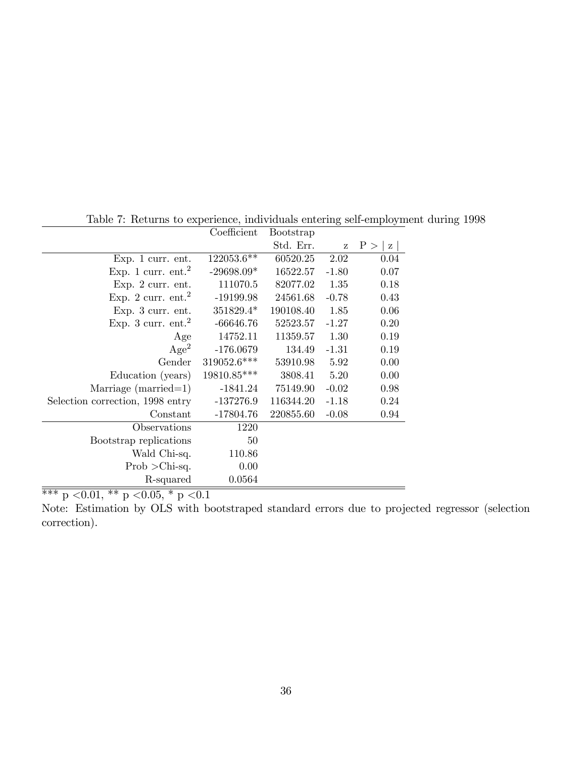|                                  | Coefficient  | <b>Bootstrap</b> |         |                     |
|----------------------------------|--------------|------------------|---------|---------------------|
|                                  |              | Std. Err.        | Z       | P ><br>$\mathbf{Z}$ |
| Exp. 1 curr. ent.                | 122053.6**   | 60520.25         | 2.02    | 0.04                |
| Exp. 1 curr. $ent.^2$            | $-29698.09*$ | 16522.57         | $-1.80$ | 0.07                |
| Exp. 2 curr. ent.                | 111070.5     | 82077.02         | 1.35    | 0.18                |
| Exp. 2 curr. $ent.^2$            | $-19199.98$  | 24561.68         | $-0.78$ | 0.43                |
| Exp. 3 curr. ent.                | 351829.4*    | 190108.40        | 1.85    | 0.06                |
| Exp. 3 curr. $ent.2$             | $-66646.76$  | 52523.57         | $-1.27$ | 0.20                |
| Age                              | 14752.11     | 11359.57         | 1.30    | 0.19                |
| Age <sup>2</sup>                 | $-176.0679$  | 134.49           | $-1.31$ | 0.19                |
| Gender                           | 319052.6***  | 53910.98         | 5.92    | 0.00                |
| Education (years)                | 19810.85***  | 3808.41          | 5.20    | 0.00                |
| Marriage (married=1)             | $-1841.24$   | 75149.90         | $-0.02$ | 0.98                |
| Selection correction, 1998 entry | $-137276.9$  | 116344.20        | $-1.18$ | 0.24                |
| Constant                         | $-17804.76$  | 220855.60        | $-0.08$ | 0.94                |
| Observations                     | 1220         |                  |         |                     |
| Bootstrap replications           | 50           |                  |         |                     |
| Wald Chi-sq.                     | 110.86       |                  |         |                     |
| $Prob > Chi-sq.$                 | 0.00         |                  |         |                     |
| R-squared                        | 0.0564       |                  |         |                     |

Table 7: Returns to experience, individuals entering self-employment during 1998

 $\overline{\ast\ast\ast}$ p $<\!\!0.01,\,{}^{\ast\ast}$ p $<\!\!0.05,\,{}^{\ast}$ p $<\!\!0.1$ 

Note: Estimation by OLS with bootstraped standard errors due to projected regressor (selection correction).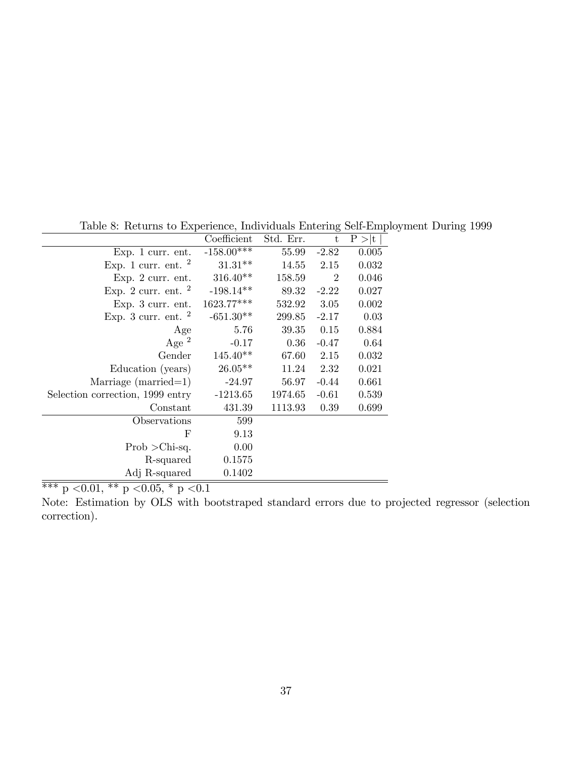|                                                   | Coefficient          | Std. Err. | t              | P >  t |
|---------------------------------------------------|----------------------|-----------|----------------|--------|
| $Exp. 1$ curr. ent.                               | $-158.00***$         | 55.99     | $-2.82$        | 0.005  |
| Exp. 1 curr. ent. $^2$                            | $31.31**$            | 14.55     | 2.15           | 0.032  |
| Exp. $2 \text{ curr.}$ ent.                       | $316.40**$           | 158.59    | $\overline{2}$ | 0.046  |
| Exp. 2 curr. ent. $^2$                            | $-198.14**$          | 89.32     | $-2.22$        | 0.027  |
| $Exp. 3$ curr. ent.                               | $1623.77***$         | 532.92    | 3.05           | 0.002  |
| Exp. 3 curr. ent. $^2$                            | $-651.30**$          | 299.85    | $-2.17$        | 0.03   |
| Age                                               | 5.76                 | 39.35     | 0.15           | 0.884  |
| Age $^2$                                          | $-0.17$              | 0.36      | $-0.47$        | 0.64   |
| Gender                                            | $145.40**$           | 67.60     | 2.15           | 0.032  |
| Education (years)                                 | $26.05**$            | 11.24     | 2.32           | 0.021  |
| Marriage (married=1)                              | $-24.97$             | 56.97     | $-0.44$        | 0.661  |
| Selection correction, 1999 entry                  | $-1213.65$           | 1974.65   | $-0.61$        | 0.539  |
| Constant                                          | 431.39               | 1113.93   | 0.39           | 0.699  |
| Observations                                      | 599                  |           |                |        |
| F                                                 | 9.13                 |           |                |        |
| $Prob > Chi-sq.$                                  | 0.00                 |           |                |        |
| R-squared                                         | 0.1575               |           |                |        |
| Adj R-squared                                     | 0.1402               |           |                |        |
| $\overline{v}$<br>ひむ<br>0.01<br>$\bigcap_{i=1}^n$ | $\sim$ $\sim$ $\sim$ |           |                |        |

Table 8: Returns to Experience, Individuals Entering Self-Employment During 1999

 $*** p < 0.01, ** p < 0.05, * p < 0.1$ 

Note: Estimation by OLS with bootstraped standard errors due to projected regressor (selection correction).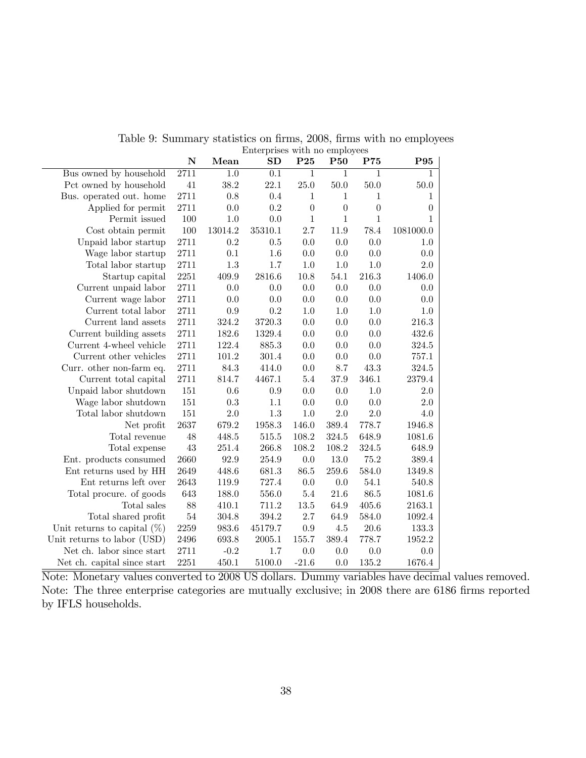|                                | Linciprises with no employees |           |                  |                  |                  |                  |                  |
|--------------------------------|-------------------------------|-----------|------------------|------------------|------------------|------------------|------------------|
|                                | $\mathbf N$                   | Mean      | SD               | P <sub>25</sub>  | <b>P50</b>       | P75              | P95              |
| Bus owned by household         | $\overline{2711}$             | 1.0       | $\overline{0.1}$ | 1                | 1                | $\mathbf{1}$     | 1                |
| Pct owned by household         | 41                            | 38.2      | 22.1             | 25.0             | 50.0             | 50.0             | 50.0             |
| Bus. operated out. home        | 2711                          | 0.8       | 0.4              | $\mathbf{1}$     | $\mathbf{1}$     | $\,1\,$          | 1                |
| Applied for permit             | 2711                          | 0.0       | $\rm 0.2$        | $\boldsymbol{0}$ | $\boldsymbol{0}$ | $\boldsymbol{0}$ | $\boldsymbol{0}$ |
| Permit issued                  | 100                           | $1.0\,$   | 0.0              | $\mathbf{1}$     | 1                | $\mathbf{1}$     | 1                |
| Cost obtain permit             | 100                           | 13014.2   | 35310.1          | 2.7              | $11.9\,$         | 78.4             | 1081000.0        |
| Unpaid labor startup           | 2711                          | 0.2       | $0.5\,$          | 0.0              | 0.0              | 0.0              | 1.0              |
| Wage labor startup             | 2711                          | 0.1       | 1.6              | 0.0              | 0.0              | 0.0              | 0.0              |
| Total labor startup            | 2711                          | 1.3       | 1.7              | 1.0              | 1.0              | 1.0              | 2.0              |
| Startup capital                | 2251                          | 409.9     | 2816.6           | 10.8             | 54.1             | 216.3            | 1406.0           |
| Current unpaid labor           | 2711                          | 0.0       | 0.0              | 0.0              | 0.0              | 0.0              | 0.0              |
| Current wage labor             | 2711                          | 0.0       | 0.0              | 0.0              | 0.0              | 0.0              | 0.0              |
| Current total labor            | 2711                          | 0.9       | 0.2              | 1.0              | 1.0              | 1.0              | 1.0              |
| Current land assets            | 2711                          | 324.2     | 3720.3           | 0.0              | 0.0              | 0.0              | 216.3            |
| Current building assets        | 2711                          | 182.6     | 1329.4           | 0.0              | 0.0              | 0.0              | 432.6            |
| Current 4-wheel vehicle        | 2711                          | 122.4     | 885.3            | 0.0              | 0.0              | 0.0              | 324.5            |
| Current other vehicles         | 2711                          | 101.2     | 301.4            | 0.0              | 0.0              | 0.0              | 757.1            |
| Curr. other non-farm eq.       | 2711                          | $84.3\,$  | 414.0            | 0.0              | 8.7              | 43.3             | 324.5            |
| Current total capital          | 2711                          | 814.7     | 4467.1           | $5.4\,$          | 37.9             | 346.1            | 2379.4           |
| Unpaid labor shutdown          | 151                           | 0.6       | 0.9              | 0.0              | 0.0              | 1.0              | 2.0              |
| Wage labor shutdown            | 151                           | $\rm 0.3$ | $1.1\,$          | 0.0              | 0.0              | 0.0              | 2.0              |
| Total labor shutdown           | 151                           | 2.0       | $1.3\,$          | $1.0\,$          | $2.0\,$          | 2.0              | 4.0              |
| Net profit                     | 2637                          | 679.2     | 1958.3           | 146.0            | 389.4            | 778.7            | 1946.8           |
| Total revenue                  | 48                            | 448.5     | 515.5            | 108.2            | 324.5            | 648.9            | 1081.6           |
| Total expense                  | 43                            | 251.4     | 266.8            | 108.2            | 108.2            | $324.5\,$        | 648.9            |
| Ent. products consumed         | 2660                          | 92.9      | 254.9            | 0.0              | 13.0             | 75.2             | 389.4            |
| Ent returns used by HH         | 2649                          | 448.6     | 681.3            | 86.5             | 259.6            | 584.0            | 1349.8           |
| Ent returns left over          | 2643                          | 119.9     | 727.4            | 0.0              | 0.0              | 54.1             | 540.8            |
| Total procure. of goods        | 643                           | 188.0     | 556.0            | 5.4              | 21.6             | 86.5             | 1081.6           |
| Total sales                    | 88                            | 410.1     | $711.2\,$        | 13.5             | 64.9             | 405.6            | 2163.1           |
| Total shared profit            | $54\,$                        | 304.8     | 394.2            | 2.7              | 64.9             | 584.0            | 1092.4           |
| Unit returns to capital $(\%)$ | 2259                          | 983.6     | 45179.7          | 0.9              | $4.5\,$          | 20.6             | 133.3            |
| Unit returns to labor (USD)    | 2496                          | 693.8     | 2005.1           | 155.7            | $389.4\,$        | 778.7            | 1952.2           |
| Net ch. labor since start      | 2711                          | $-0.2$    | 1.7              | 0.0              | $0.0\,$          | 0.0              | 0.0              |
| Net ch. capital since start    | 2251                          | 450.1     | 5100.0           | $-21.6$          | $0.0\,$          | 135.2            | 1676.4           |

Table 9: Summary statistics on firms, 2008, firms with no employees Enterprises with no employees

Note: Monetary values converted to 2008 US dollars. Dummy variables have decimal values removed. Note: The three enterprise categories are mutually exclusive; in 2008 there are 6186 firms reported by IFLS households.